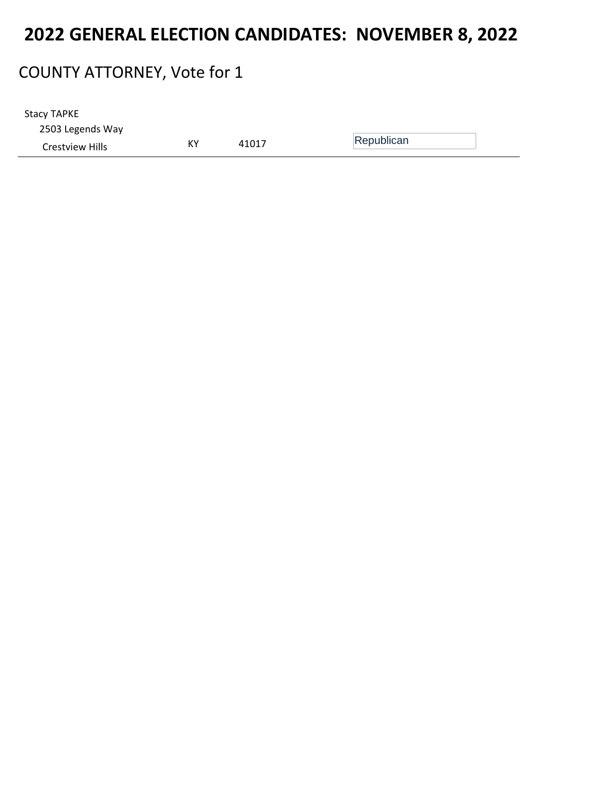#### COUNTY ATTORNEY, Vote for 1

2503 Legends Way Crestview Hills **KY** 41017 Republican Stacy TAPKE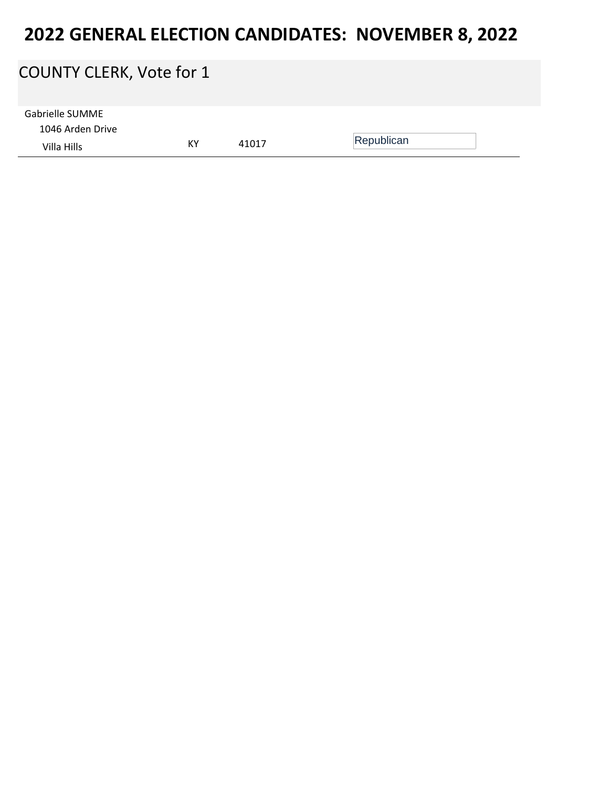# COUNTY CLERK, Vote for 1 1046 Arden Drive Villa Hills KY <sup>41017</sup> Republican Gabrielle SUMME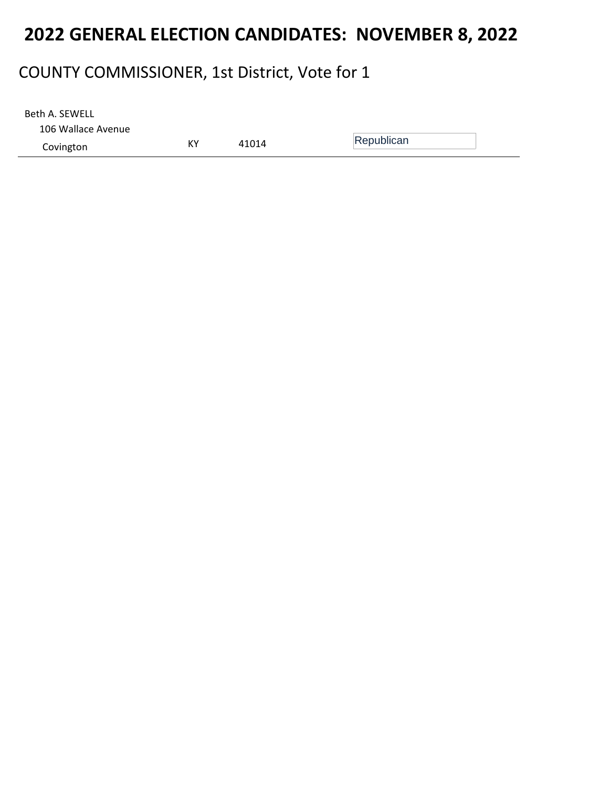#### COUNTY COMMISSIONER, 1st District, Vote for 1

106 Wallace Avenue Covington **KY** 41014 Republican Beth A. SEWELL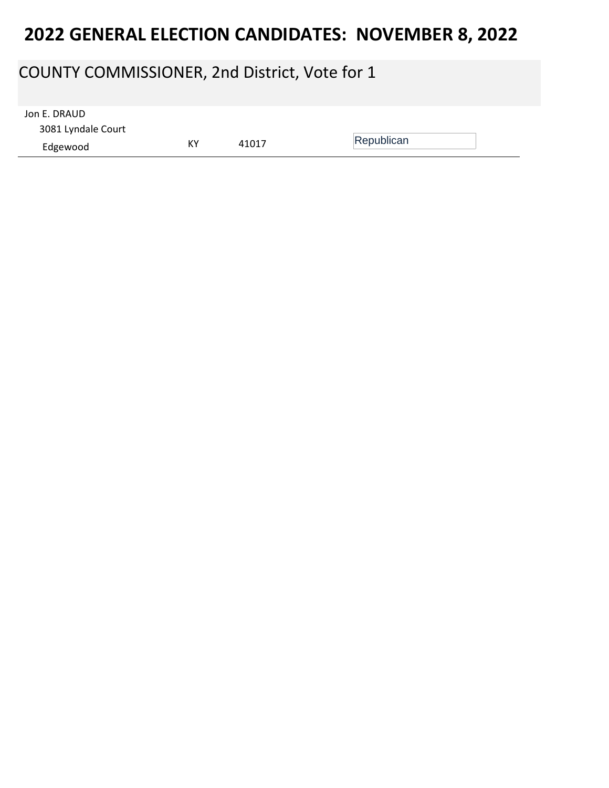### COUNTY COMMISSIONER, 2nd District, Vote for 1

| Jon E. DRAUD       |    |       |            |  |
|--------------------|----|-------|------------|--|
| 3081 Lyndale Court |    |       |            |  |
| Edgewood           | КY | 41017 | Republican |  |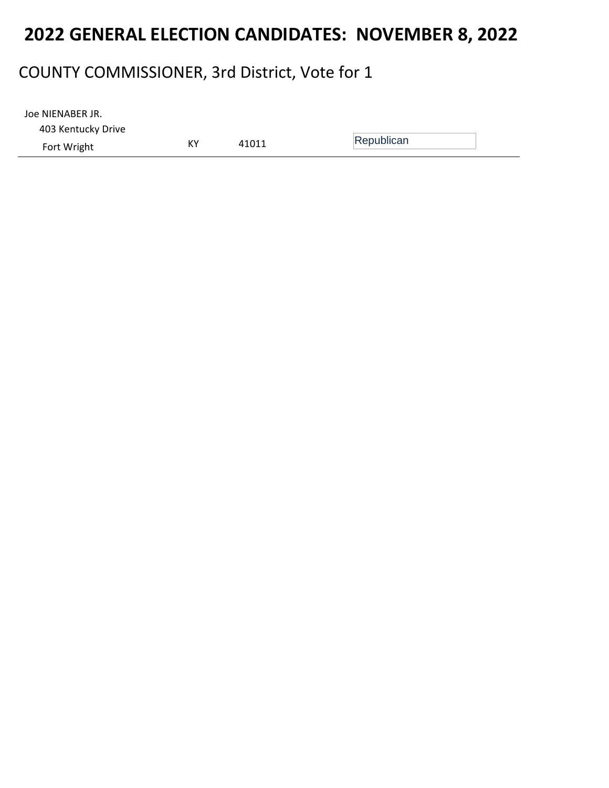### COUNTY COMMISSIONER, 3rd District, Vote for 1

| Joe NIENABER JR.   |    |       |            |
|--------------------|----|-------|------------|
| 403 Kentucky Drive |    |       |            |
| Fort Wright        | KY | 41011 | Republican |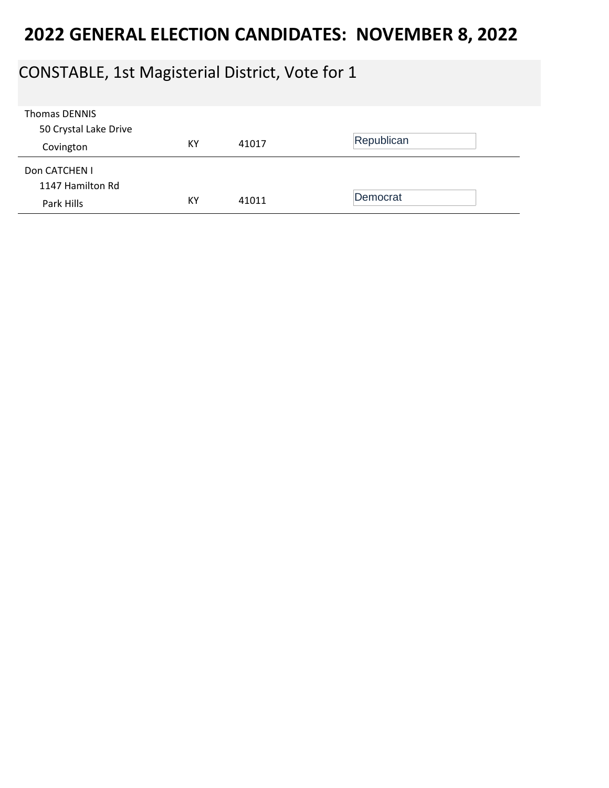### CONSTABLE, 1st Magisterial District, Vote for 1

| <b>Thomas DENNIS</b>  |    |       |            |
|-----------------------|----|-------|------------|
| 50 Crystal Lake Drive |    |       |            |
| Covington             | KY | 41017 | Republican |
|                       |    |       |            |
| Don CATCHEN I         |    |       |            |
| 1147 Hamilton Rd      |    |       |            |
| Park Hills            | KY | 41011 | Democrat   |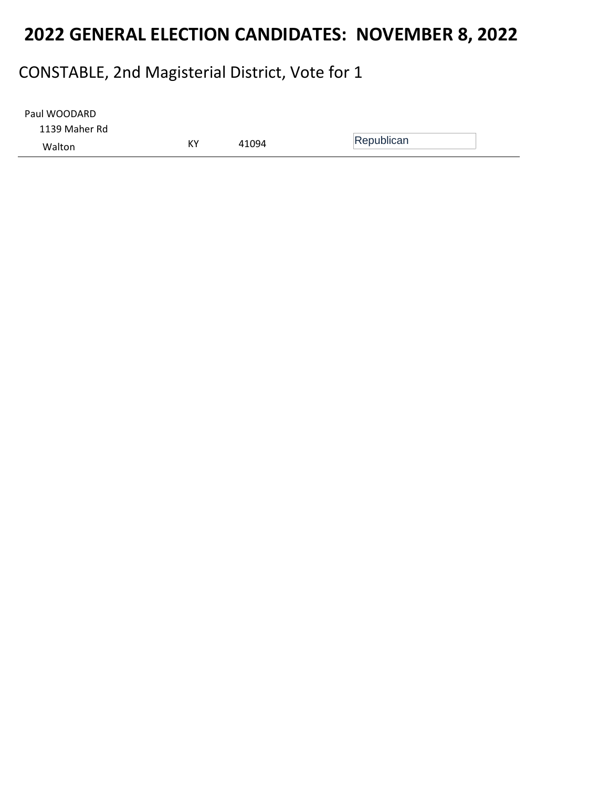### CONSTABLE, 2nd Magisterial District, Vote for 1

| Paul WOODARD  |    |       |            |  |
|---------------|----|-------|------------|--|
| 1139 Maher Rd |    |       |            |  |
| Walton        | KY | 41094 | Republican |  |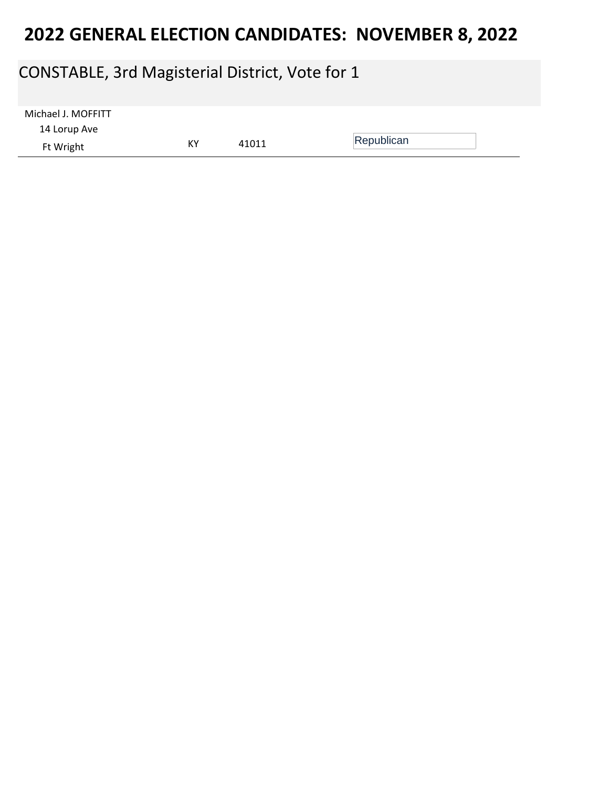### CONSTABLE, 3rd Magisterial District, Vote for 1

| Michael J. MOFFITT |    |       |            |
|--------------------|----|-------|------------|
| 14 Lorup Ave       |    |       |            |
| Ft Wright          | КY | 41011 | Republican |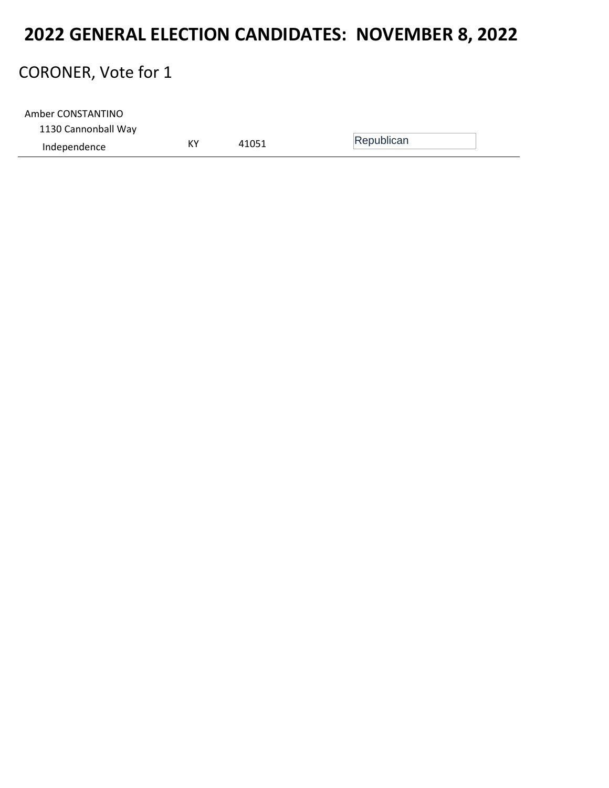#### CORONER, Vote for 1

| Amber CONSTANTINO   |    |       |            |
|---------------------|----|-------|------------|
| 1130 Cannonball Way |    |       |            |
| Independence        | K۲ | 41051 | Republican |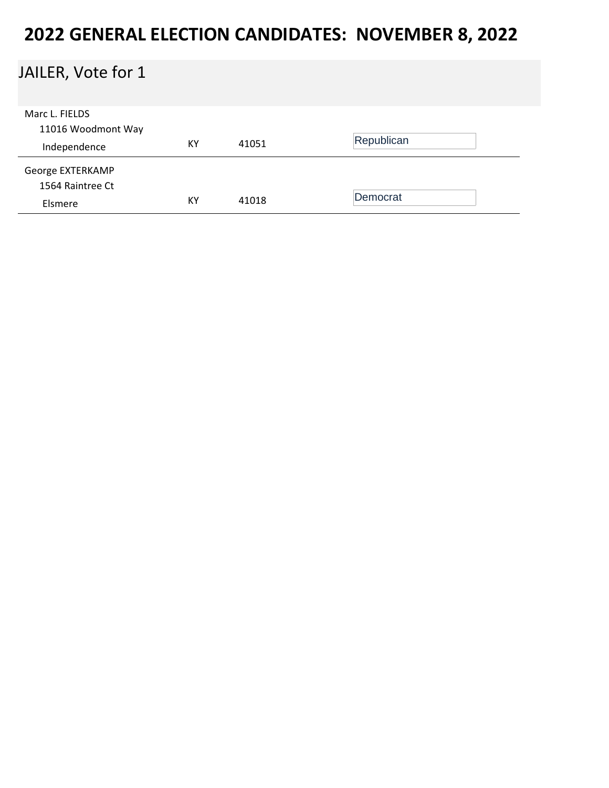### JAILER, Vote for 1

| Marc L. FIELDS     |    |       |            |
|--------------------|----|-------|------------|
| 11016 Woodmont Way |    |       | Republican |
| Independence       | KY | 41051 |            |
| George EXTERKAMP   |    |       |            |
| 1564 Raintree Ct   |    |       |            |
| Elsmere            | KY | 41018 | Democrat   |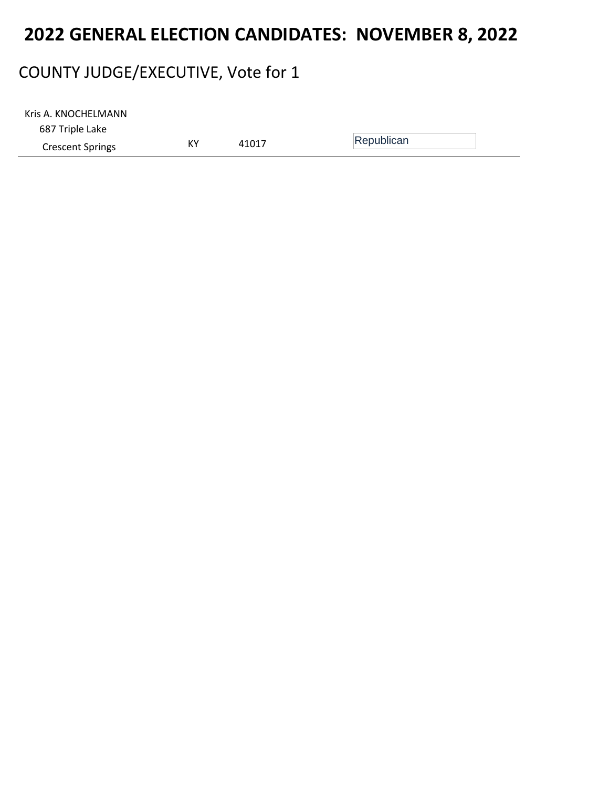### COUNTY JUDGE/EXECUTIVE, Vote for 1

| Kris A. KNOCHELMANN     |    |       |            |  |
|-------------------------|----|-------|------------|--|
| 687 Triple Lake         |    |       |            |  |
| <b>Crescent Springs</b> | КY | 41017 | Republican |  |
|                         |    |       |            |  |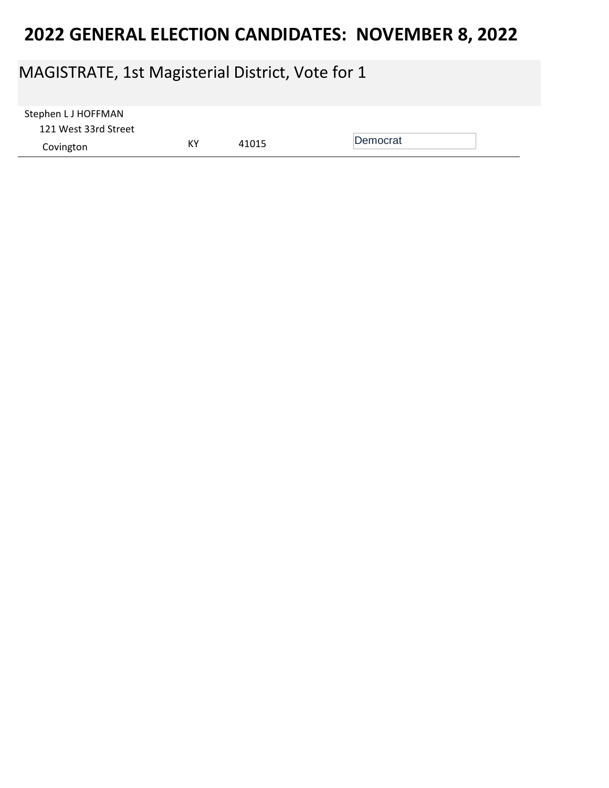### MAGISTRATE, 1st Magisterial District, Vote for 1

| Stephen L J HOFFMAN  |    |       |          |  |
|----------------------|----|-------|----------|--|
| 121 West 33rd Street |    |       |          |  |
| Covington            | KY | 41015 | Democrat |  |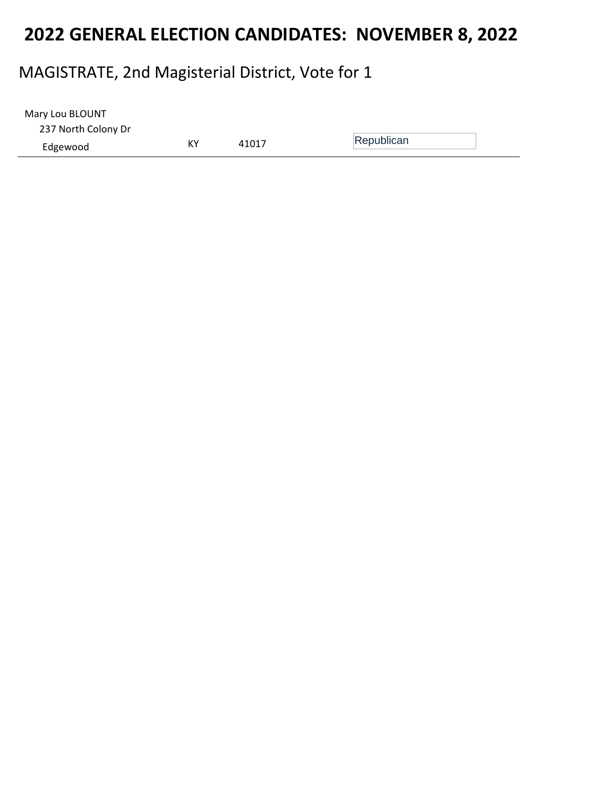#### MAGISTRATE, 2nd Magisterial District, Vote for 1

| Mary Lou BLOUNT     |    |       |            |
|---------------------|----|-------|------------|
| 237 North Colony Dr |    |       |            |
| Edgewood            | КY | 41017 | Republican |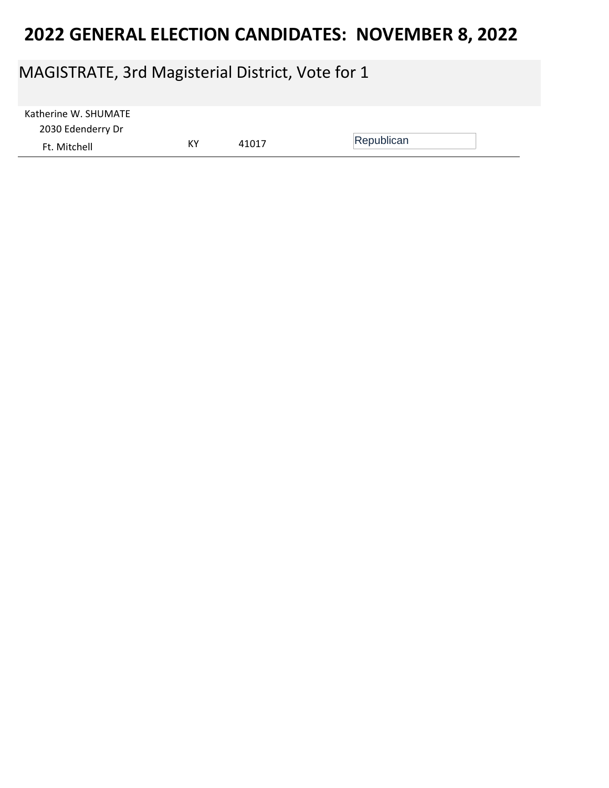### MAGISTRATE, 3rd Magisterial District, Vote for 1

| Katherine W. SHUMATE |    |       |            |  |
|----------------------|----|-------|------------|--|
| 2030 Edenderry Dr    |    |       |            |  |
| Ft. Mitchell         | КY | 41017 | Republican |  |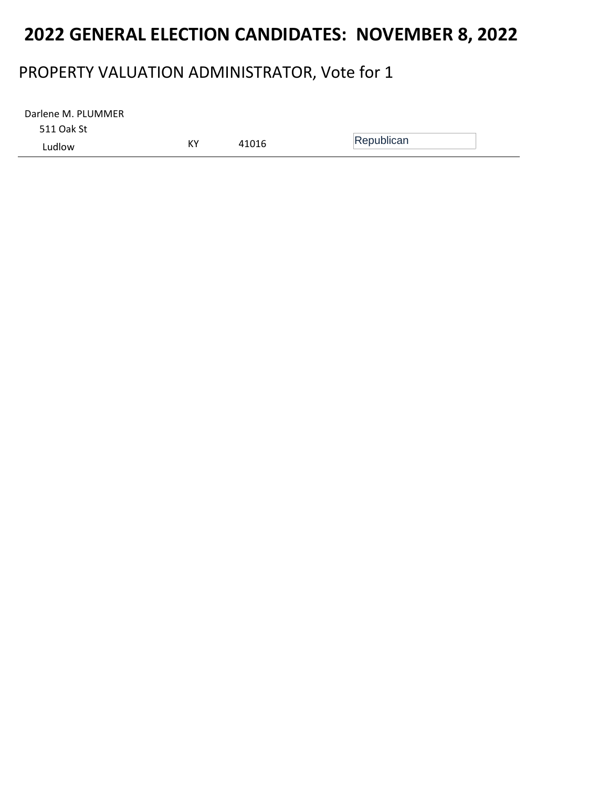#### PROPERTY VALUATION ADMINISTRATOR, Vote for 1

511 Oak St Ludlow KY <sup>41016</sup> Republican Darlene M. PLUMMER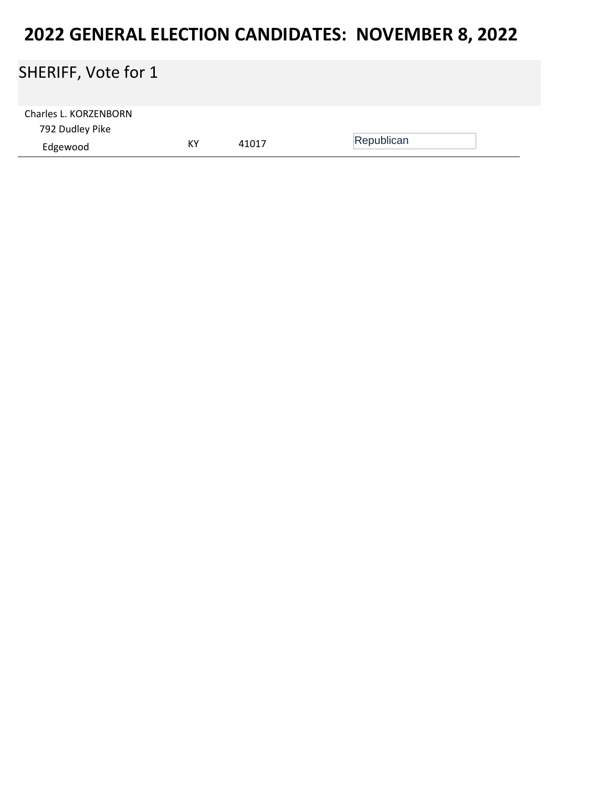### SHERIFF, Vote for 1

| Charles L. KORZENBORN |    |       |            |  |
|-----------------------|----|-------|------------|--|
| 792 Dudley Pike       |    |       |            |  |
| Edgewood              | КY | 41017 | Republican |  |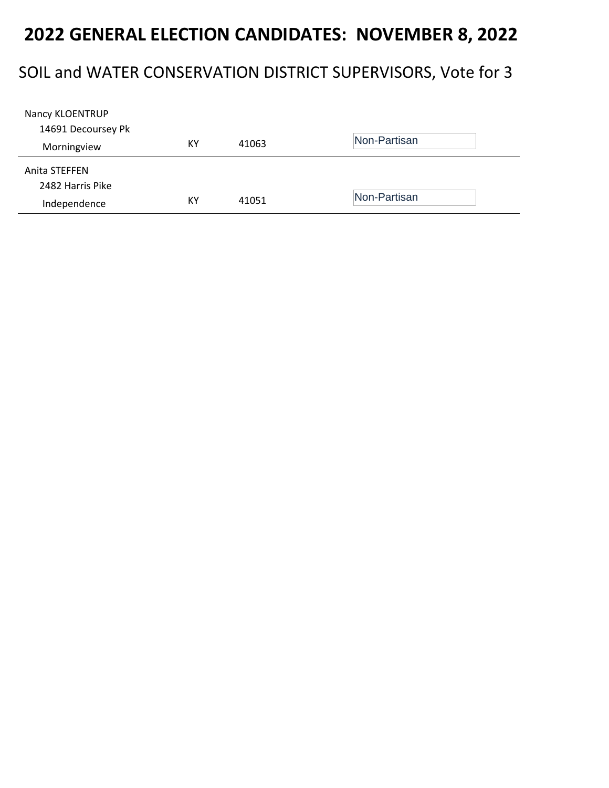#### SOIL and WATER CONSERVATION DISTRICT SUPERVISORS, Vote for 3

| Nancy KLOENTRUP    |    |       |              |
|--------------------|----|-------|--------------|
| 14691 Decoursey Pk |    |       |              |
| Morningview        | ΚY | 41063 | Non-Partisan |
| Anita STEFFEN      |    |       |              |
| 2482 Harris Pike   |    |       |              |
| Independence       | КY | 41051 | Non-Partisan |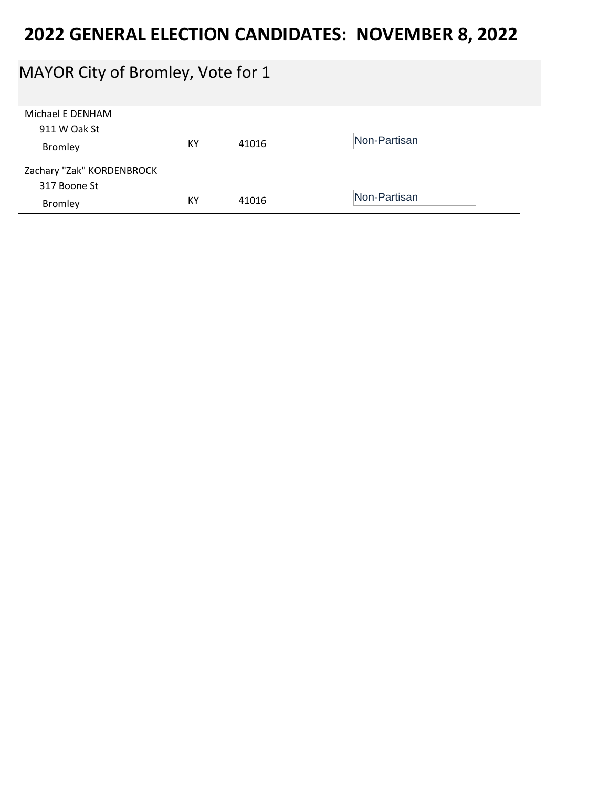### MAYOR City of Bromley, Vote for 1

| Michael E DENHAM<br>911 W Oak St<br>Bromley | KY | 41016 | Non-Partisan |
|---------------------------------------------|----|-------|--------------|
| Zachary "Zak" KORDENBROCK<br>317 Boone St   |    |       |              |
| Bromley                                     | KY | 41016 | Non-Partisan |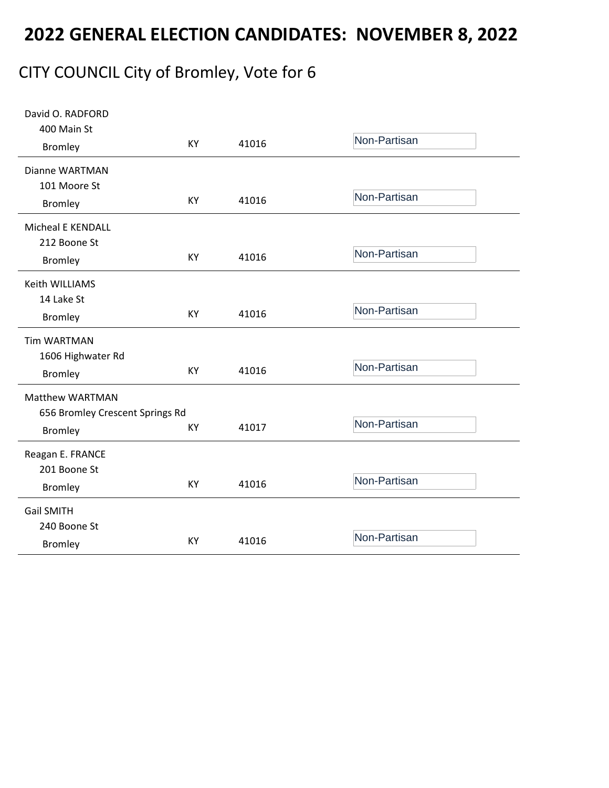### CITY COUNCIL City of Bromley, Vote for 6

| David O. RADFORD<br>400 Main St |    |       |              |
|---------------------------------|----|-------|--------------|
| <b>Bromley</b>                  | KY | 41016 | Non-Partisan |
| Dianne WARTMAN                  |    |       |              |
| 101 Moore St                    |    |       |              |
| <b>Bromley</b>                  | KY | 41016 | Non-Partisan |
| <b>Micheal E KENDALL</b>        |    |       |              |
| 212 Boone St                    |    |       |              |
| <b>Bromley</b>                  | KY | 41016 | Non-Partisan |
| Keith WILLIAMS                  |    |       |              |
| 14 Lake St                      |    |       |              |
| <b>Bromley</b>                  | KY | 41016 | Non-Partisan |
| <b>Tim WARTMAN</b>              |    |       |              |
| 1606 Highwater Rd               |    |       |              |
| <b>Bromley</b>                  | KY | 41016 | Non-Partisan |
| <b>Matthew WARTMAN</b>          |    |       |              |
| 656 Bromley Crescent Springs Rd |    |       |              |
| <b>Bromley</b>                  | KY | 41017 | Non-Partisan |
| Reagan E. FRANCE                |    |       |              |
| 201 Boone St                    |    |       |              |
| <b>Bromley</b>                  | KY | 41016 | Non-Partisan |
| <b>Gail SMITH</b>               |    |       |              |
| 240 Boone St                    |    |       |              |
| <b>Bromley</b>                  | KY | 41016 | Non-Partisan |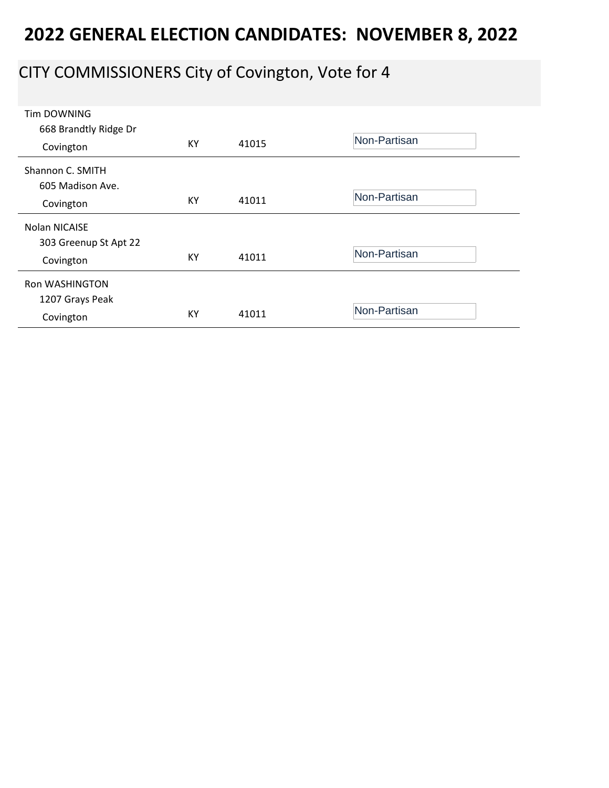# CITY COMMISSIONERS City of Covington, Vote for 4

| <b>Tim DOWNING</b>    |    |       |              |
|-----------------------|----|-------|--------------|
| 668 Brandtly Ridge Dr |    |       |              |
| Covington             | KY | 41015 | Non-Partisan |
|                       |    |       |              |
| Shannon C. SMITH      |    |       |              |
| 605 Madison Ave.      |    |       |              |
|                       | KY | 41011 | Non-Partisan |
| Covington             |    |       |              |
| Nolan NICAISE         |    |       |              |
| 303 Greenup St Apt 22 |    |       |              |
| Covington             | KY | 41011 | Non-Partisan |
|                       |    |       |              |
| <b>Ron WASHINGTON</b> |    |       |              |
| 1207 Grays Peak       |    |       |              |
|                       | KY | 41011 | Non-Partisan |
| Covington             |    |       |              |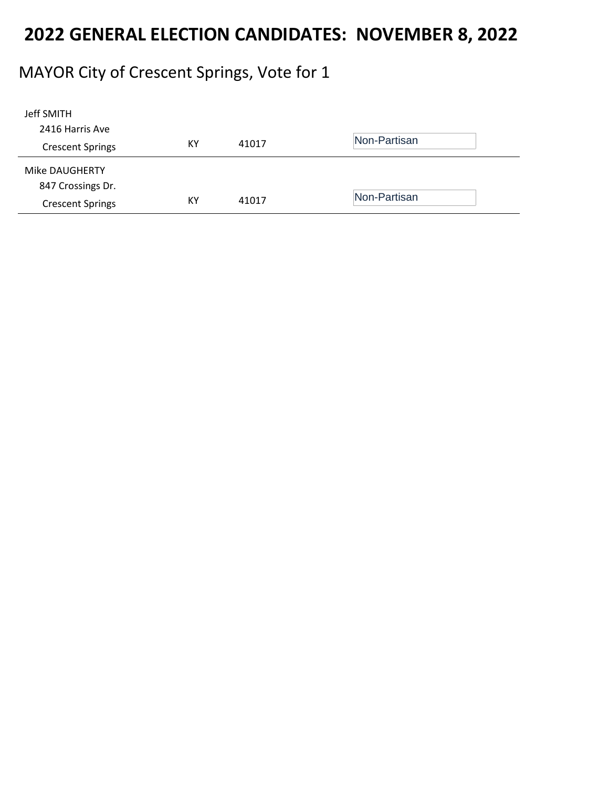# MAYOR City of Crescent Springs, Vote for 1

| Jeff SMITH              |    |       |              |
|-------------------------|----|-------|--------------|
| 2416 Harris Ave         |    |       |              |
| <b>Crescent Springs</b> | КY | 41017 | Non-Partisan |
| Mike DAUGHERTY          |    |       |              |
| 847 Crossings Dr.       |    |       |              |
| <b>Crescent Springs</b> | КY | 41017 | Non-Partisan |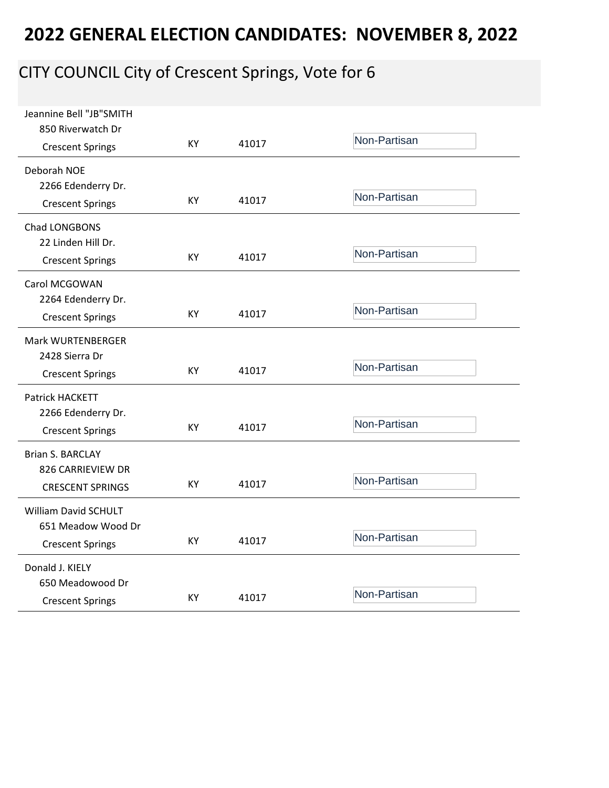# CITY COUNCIL City of Crescent Springs, Vote for 6

| Jeannine Bell "JB"SMITH<br>850 Riverwatch Dr                 | <b>KY</b> | 41017 | Non-Partisan |
|--------------------------------------------------------------|-----------|-------|--------------|
| <b>Crescent Springs</b>                                      |           |       |              |
| Deborah NOE<br>2266 Edenderry Dr.<br><b>Crescent Springs</b> | KY.       | 41017 | Non-Partisan |
| Chad LONGBONS<br>22 Linden Hill Dr.                          | <b>KY</b> | 41017 | Non-Partisan |
| <b>Crescent Springs</b>                                      |           |       |              |
| Carol MCGOWAN<br>2264 Edenderry Dr.                          |           |       |              |
| <b>Crescent Springs</b>                                      | KY        | 41017 | Non-Partisan |
| Mark WURTENBERGER<br>2428 Sierra Dr                          |           |       |              |
| <b>Crescent Springs</b>                                      | KY        | 41017 | Non-Partisan |
| Patrick HACKETT                                              |           |       |              |
| 2266 Edenderry Dr.<br><b>Crescent Springs</b>                | KY        | 41017 | Non-Partisan |
| <b>Brian S. BARCLAY</b><br>826 CARRIEVIEW DR                 |           |       |              |
| <b>CRESCENT SPRINGS</b>                                      | KY.       | 41017 | Non-Partisan |
| <b>William David SCHULT</b><br>651 Meadow Wood Dr            |           |       |              |
| <b>Crescent Springs</b>                                      | KY        | 41017 | Non-Partisan |
| Donald J. KIELY                                              |           |       |              |
| 650 Meadowood Dr<br><b>Crescent Springs</b>                  | KY        | 41017 | Non-Partisan |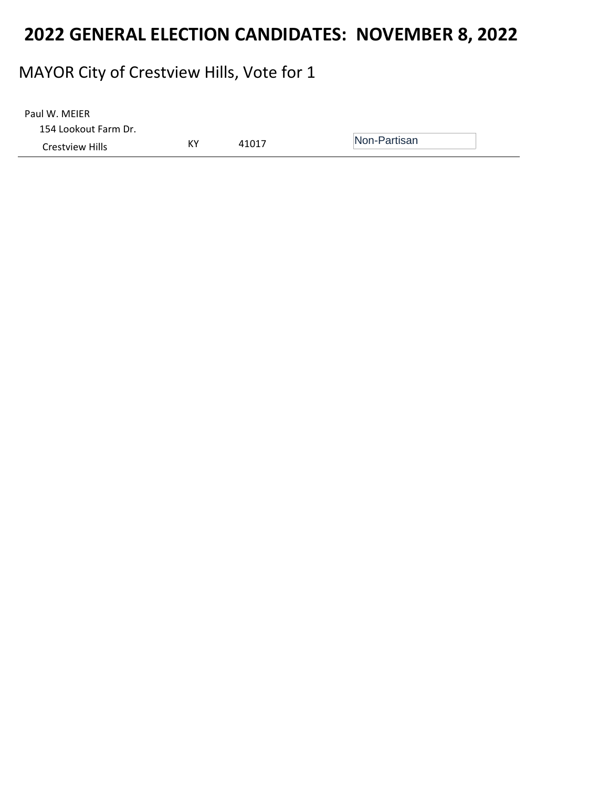### MAYOR City of Crestview Hills, Vote for 1

| Paul W. MEIER        |    |       |              |
|----------------------|----|-------|--------------|
| 154 Lookout Farm Dr. |    |       |              |
| Crestview Hills      | КY | 41017 | Non-Partisan |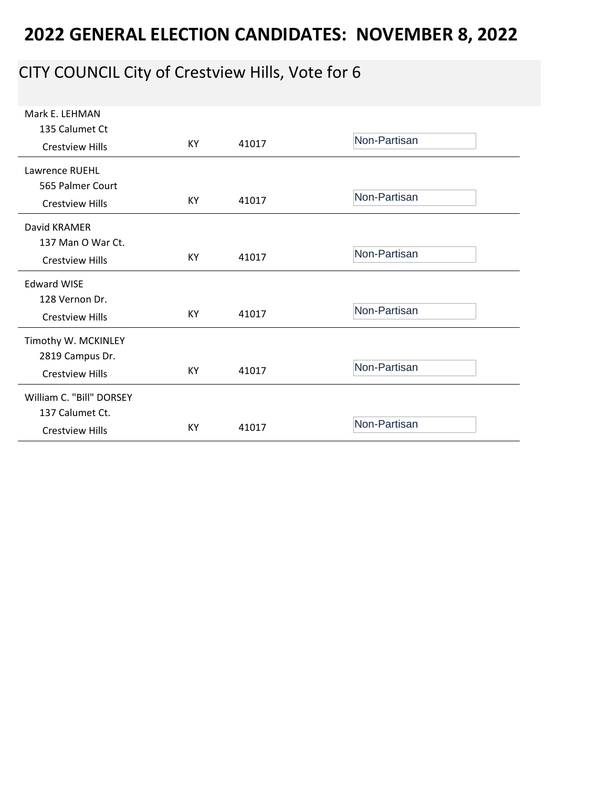# CITY COUNCIL City of Crestview Hills, Vote for 6

| Mark E. LEHMAN           |           |       |              |
|--------------------------|-----------|-------|--------------|
| 135 Calumet Ct           |           |       |              |
| <b>Crestview Hills</b>   | KY        | 41017 | Non-Partisan |
|                          |           |       |              |
| Lawrence RUEHL           |           |       |              |
| 565 Palmer Court         |           |       |              |
| <b>Crestview Hills</b>   | KY        | 41017 | Non-Partisan |
|                          |           |       |              |
| David KRAMER             |           |       |              |
| 137 Man O War Ct.        |           |       |              |
| <b>Crestview Hills</b>   | KY        | 41017 | Non-Partisan |
|                          |           |       |              |
| <b>Edward WISE</b>       |           |       |              |
| 128 Vernon Dr.           |           |       |              |
| <b>Crestview Hills</b>   | <b>KY</b> | 41017 | Non-Partisan |
|                          |           |       |              |
| Timothy W. MCKINLEY      |           |       |              |
| 2819 Campus Dr.          |           |       | Non-Partisan |
| <b>Crestview Hills</b>   | KY.       | 41017 |              |
| William C. "Bill" DORSEY |           |       |              |
| 137 Calumet Ct.          |           |       |              |
|                          | KY        | 41017 | Non-Partisan |
| <b>Crestview Hills</b>   |           |       |              |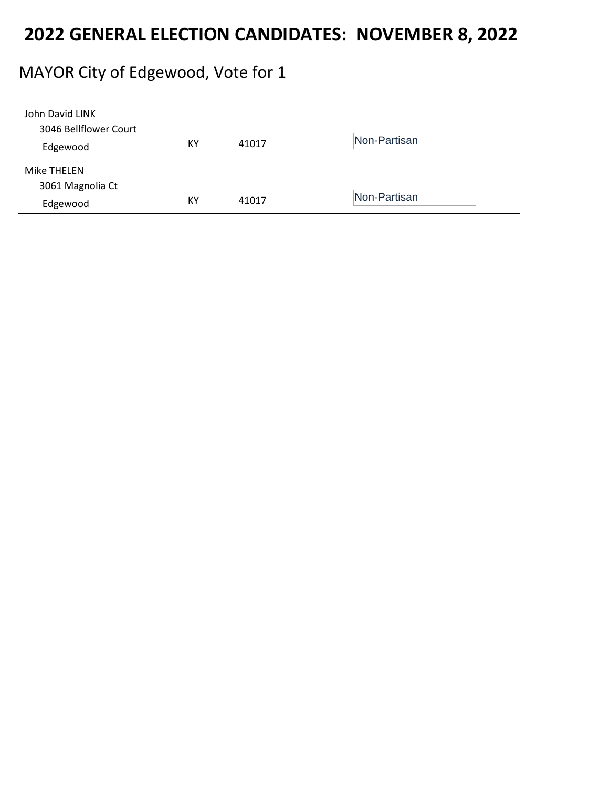#### MAYOR City of Edgewood, Vote for 1

| John David LINK       |    |       |              |
|-----------------------|----|-------|--------------|
| 3046 Bellflower Court |    |       |              |
| Edgewood              | ΚY | 41017 | Non-Partisan |
| Mike THELEN           |    |       |              |
| 3061 Magnolia Ct      |    |       |              |
| Edgewood              | KY | 41017 | Non-Partisan |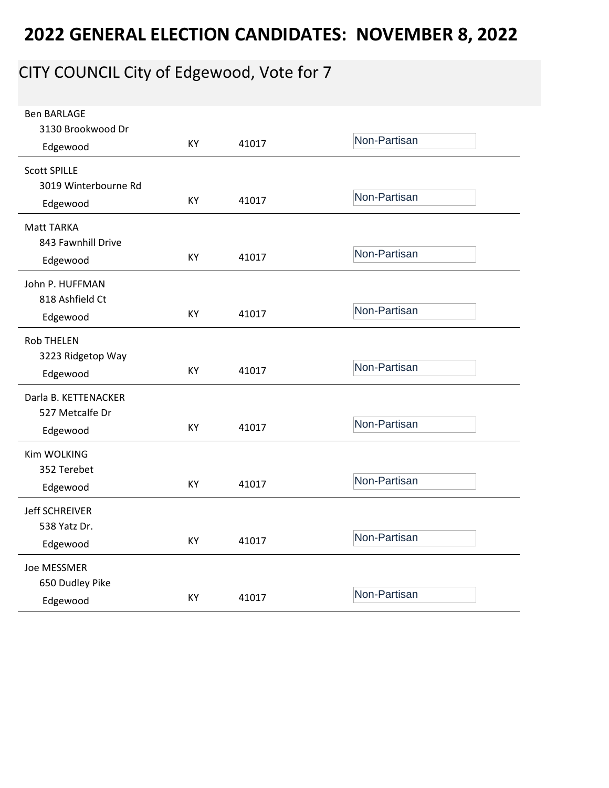# CITY COUNCIL City of Edgewood, Vote for 7

| <b>Ben BARLAGE</b><br>3130 Brookwood Dr<br>Edgewood | KY | 41017 | Non-Partisan |
|-----------------------------------------------------|----|-------|--------------|
|                                                     |    |       |              |
| <b>Scott SPILLE</b><br>3019 Winterbourne Rd         |    |       |              |
| Edgewood                                            | KY | 41017 | Non-Partisan |
|                                                     |    |       |              |
| <b>Matt TARKA</b>                                   |    |       |              |
| 843 Fawnhill Drive                                  | KY | 41017 | Non-Partisan |
| Edgewood                                            |    |       |              |
| John P. HUFFMAN                                     |    |       |              |
| 818 Ashfield Ct                                     |    |       |              |
| Edgewood                                            | KY | 41017 | Non-Partisan |
| <b>Rob THELEN</b>                                   |    |       |              |
| 3223 Ridgetop Way                                   |    |       |              |
| Edgewood                                            | KY | 41017 | Non-Partisan |
| Darla B. KETTENACKER                                |    |       |              |
| 527 Metcalfe Dr                                     |    |       |              |
| Edgewood                                            | KY | 41017 | Non-Partisan |
|                                                     |    |       |              |
| Kim WOLKING<br>352 Terebet                          |    |       |              |
|                                                     | KY | 41017 | Non-Partisan |
| Edgewood                                            |    |       |              |
| <b>Jeff SCHREIVER</b>                               |    |       |              |
| 538 Yatz Dr.                                        |    |       |              |
| Edgewood                                            | KY | 41017 | Non-Partisan |
| Joe MESSMER                                         |    |       |              |
| 650 Dudley Pike                                     |    |       |              |
| Edgewood                                            | KY | 41017 | Non-Partisan |
|                                                     |    |       |              |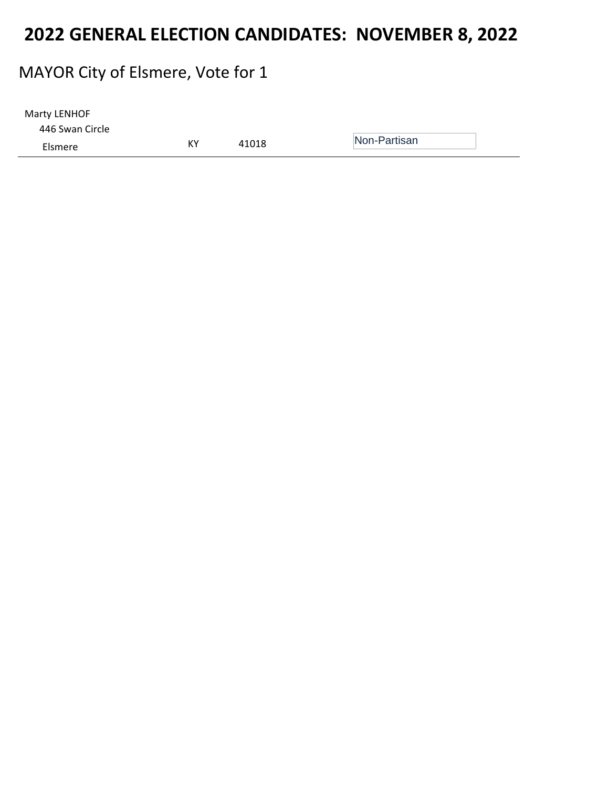#### MAYOR City of Elsmere, Vote for 1

| Marty LENHOF    |    |       |              |
|-----------------|----|-------|--------------|
| 446 Swan Circle |    |       |              |
| Elsmere         | КY | 41018 | Non-Partisan |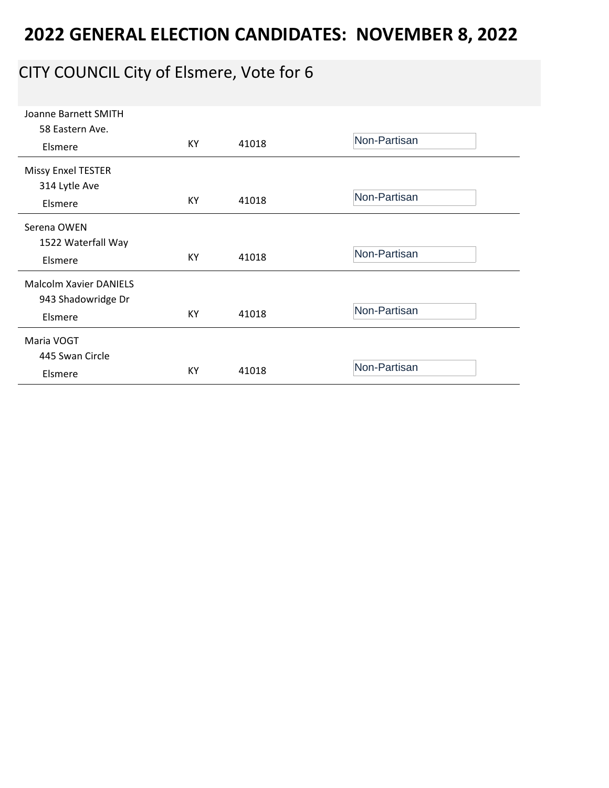# CITY COUNCIL City of Elsmere, Vote for 6

| Joanne Barnett SMITH          |    |       |              |
|-------------------------------|----|-------|--------------|
| 58 Eastern Ave.               |    |       |              |
| Elsmere                       | KY | 41018 | Non-Partisan |
|                               |    |       |              |
| <b>Missy Enxel TESTER</b>     |    |       |              |
| 314 Lytle Ave                 |    |       |              |
| Elsmere                       | KY | 41018 | Non-Partisan |
|                               |    |       |              |
| Serena OWEN                   |    |       |              |
| 1522 Waterfall Way            |    |       |              |
| Elsmere                       | KY | 41018 | Non-Partisan |
| <b>Malcolm Xavier DANIELS</b> |    |       |              |
| 943 Shadowridge Dr            |    |       |              |
|                               | KY | 41018 | Non-Partisan |
| Elsmere                       |    |       |              |
| Maria VOGT                    |    |       |              |
| 445 Swan Circle               |    |       |              |
| Elsmere                       | KY | 41018 | Non-Partisan |
|                               |    |       |              |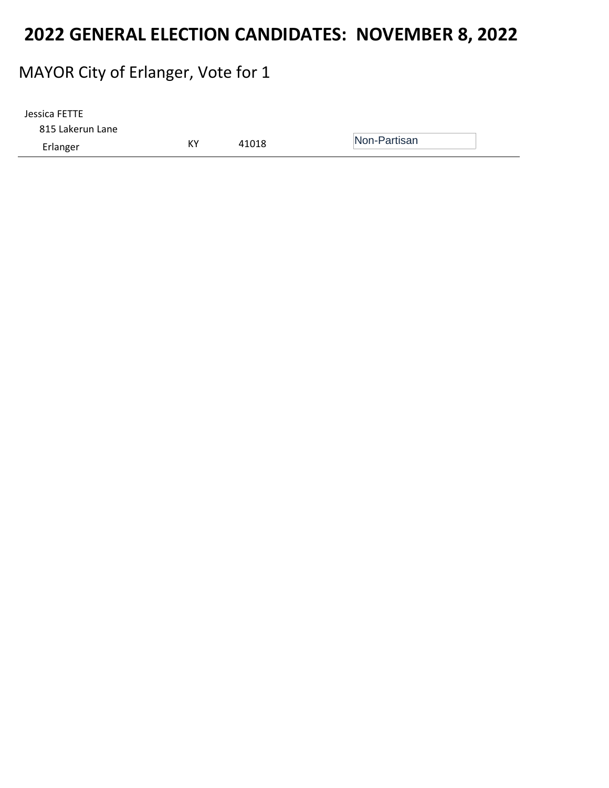### MAYOR City of Erlanger, Vote for 1

| 815 Lakerun Lane | Jessica FETTE |    |       |              |
|------------------|---------------|----|-------|--------------|
|                  |               |    |       |              |
| Erlanger         |               | КY | 41018 | Non-Partisan |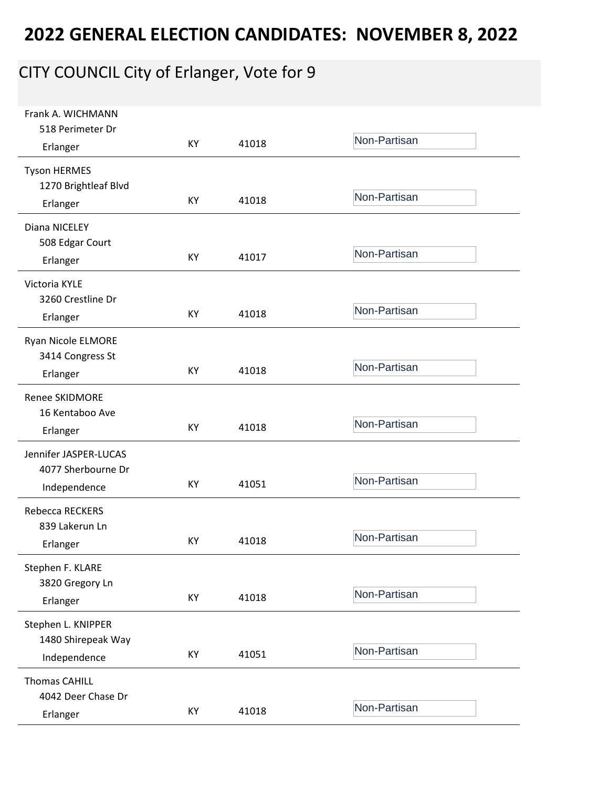# CITY COUNCIL City of Erlanger, Vote for 9

| Frank A. WICHMANN<br>518 Perimeter Dr                       |    |       |              |
|-------------------------------------------------------------|----|-------|--------------|
| Erlanger                                                    | KY | 41018 | Non-Partisan |
| <b>Tyson HERMES</b><br>1270 Brightleaf Blvd<br>Erlanger     | KY | 41018 | Non-Partisan |
| Diana NICELEY<br>508 Edgar Court                            |    |       |              |
| Erlanger                                                    | KY | 41017 | Non-Partisan |
| Victoria KYLE<br>3260 Crestline Dr<br>Erlanger              | KY | 41018 | Non-Partisan |
| Ryan Nicole ELMORE<br>3414 Congress St                      | KY | 41018 | Non-Partisan |
| Erlanger                                                    |    |       |              |
| <b>Renee SKIDMORE</b><br>16 Kentaboo Ave<br>Erlanger        | KY | 41018 | Non-Partisan |
| Jennifer JASPER-LUCAS<br>4077 Sherbourne Dr<br>Independence | KY | 41051 | Non-Partisan |
| Rebecca RECKERS<br>839 Lakerun Ln<br>Erlanger               | KY | 41018 | Non-Partisan |
| Stephen F. KLARE<br>3820 Gregory Ln<br>Erlanger             | KY | 41018 | Non-Partisan |
| Stephen L. KNIPPER<br>1480 Shirepeak Way<br>Independence    | KY | 41051 | Non-Partisan |
| <b>Thomas CAHILL</b><br>4042 Deer Chase Dr<br>Erlanger      | KY | 41018 | Non-Partisan |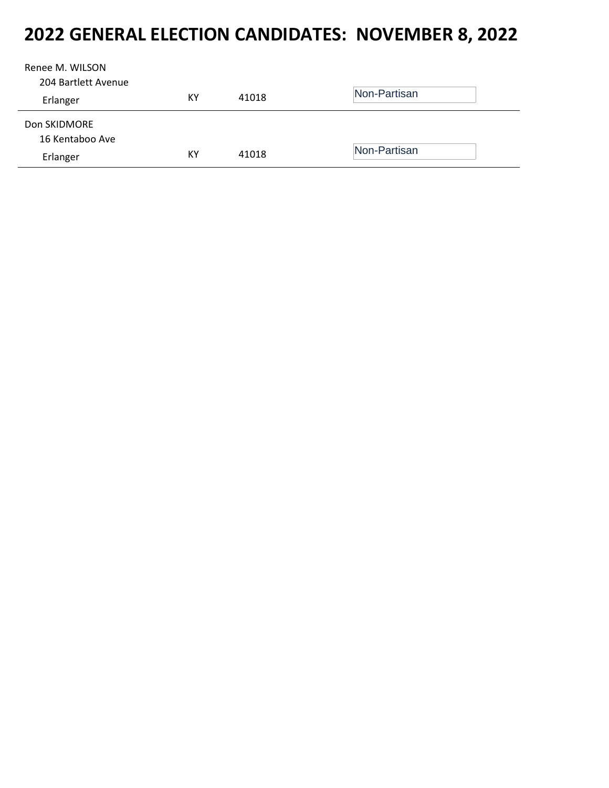| Renee M. WILSON<br>204 Bartlett Avenue |    |       |              |
|----------------------------------------|----|-------|--------------|
|                                        | KY | 41018 | Non-Partisan |
| Erlanger                               |    |       |              |
| Don SKIDMORE                           |    |       |              |
| 16 Kentaboo Ave                        |    |       |              |
| Erlanger                               | КY | 41018 | Non-Partisan |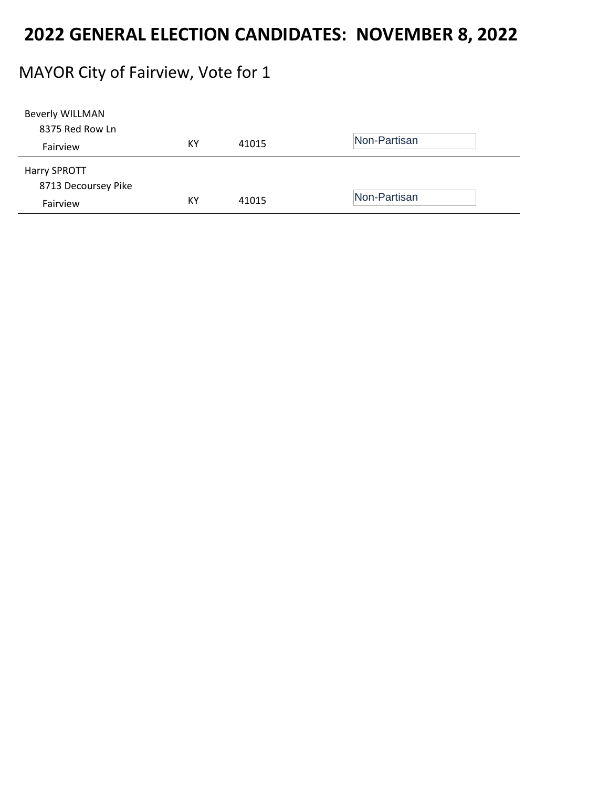#### MAYOR City of Fairview, Vote for 1

| <b>Beverly WILLMAN</b> |    |       |              |
|------------------------|----|-------|--------------|
| 8375 Red Row Ln        |    |       |              |
| Fairview               | ΚY | 41015 | Non-Partisan |
| Harry SPROTT           |    |       |              |
| 8713 Decoursey Pike    |    |       |              |
| Fairview               | КY | 41015 | Non-Partisan |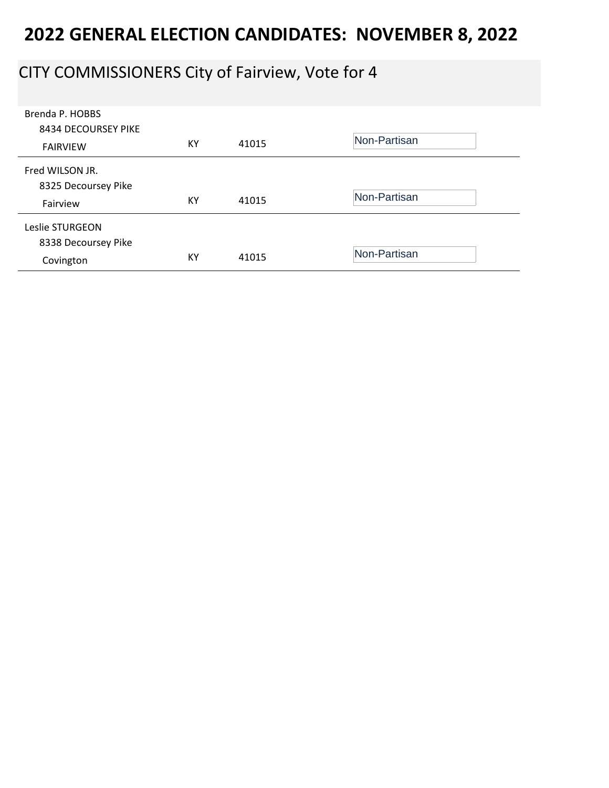### CITY COMMISSIONERS City of Fairview, Vote for 4

| Brenda P. HOBBS<br>8434 DECOURSEY PIKE<br><b>FAIRVIEW</b> | KY | 41015 | Non-Partisan |
|-----------------------------------------------------------|----|-------|--------------|
| Fred WILSON JR.<br>8325 Decoursey Pike<br>Fairview        | КY | 41015 | Non-Partisan |
| Leslie STURGEON<br>8338 Decoursey Pike<br>Covington       | KY | 41015 | Non-Partisan |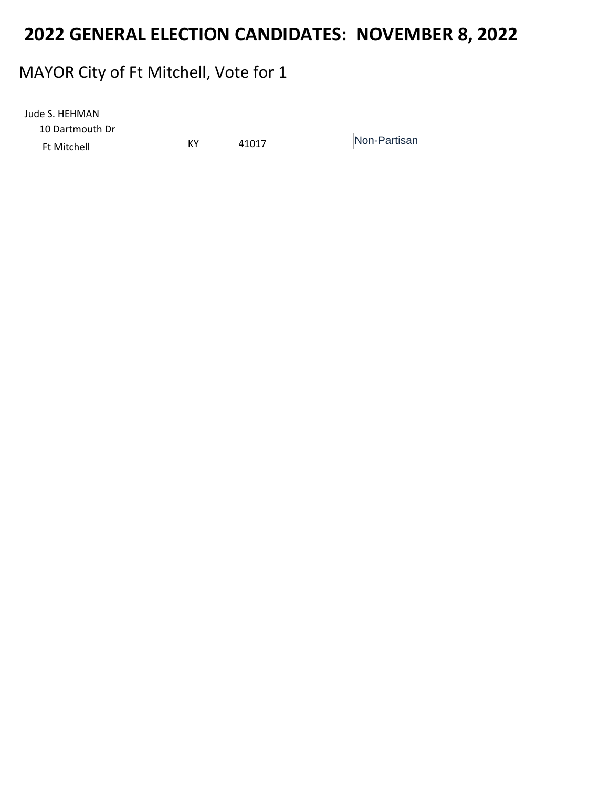### MAYOR City of Ft Mitchell, Vote for 1

| Jude S. HEHMAN     |    |       |              |
|--------------------|----|-------|--------------|
| 10 Dartmouth Dr    |    |       |              |
| <b>Ft Mitchell</b> | КY | 41017 | Non-Partisan |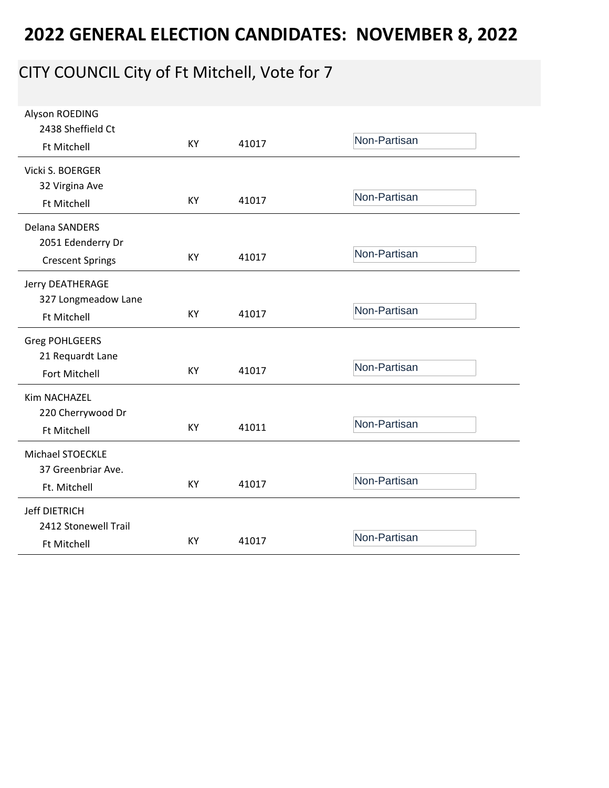# CITY COUNCIL City of Ft Mitchell, Vote for 7

| Alyson ROEDING<br>2438 Sheffield Ct          | <b>KY</b> | 41017 | Non-Partisan |
|----------------------------------------------|-----------|-------|--------------|
| <b>Ft Mitchell</b>                           |           |       |              |
| Vicki S. BOERGER<br>32 Virgina Ave           |           |       |              |
| <b>Ft Mitchell</b>                           | KY        | 41017 | Non-Partisan |
| Delana SANDERS                               |           |       |              |
| 2051 Edenderry Dr<br><b>Crescent Springs</b> | KY        | 41017 | Non-Partisan |
| Jerry DEATHERAGE                             |           |       |              |
| 327 Longmeadow Lane<br>Ft Mitchell           | KY        | 41017 | Non-Partisan |
| <b>Greg POHLGEERS</b>                        |           |       |              |
| 21 Requardt Lane                             |           |       |              |
| Fort Mitchell                                | KY        | 41017 | Non-Partisan |
| Kim NACHAZEL                                 |           |       |              |
| 220 Cherrywood Dr                            |           |       | Non-Partisan |
| <b>Ft Mitchell</b>                           | KY        | 41011 |              |
| <b>Michael STOECKLE</b>                      |           |       |              |
| 37 Greenbriar Ave.                           |           |       |              |
| Ft. Mitchell                                 | KY        | 41017 | Non-Partisan |
| <b>Jeff DIETRICH</b>                         |           |       |              |
| 2412 Stonewell Trail                         |           |       | Non-Partisan |
| <b>Ft Mitchell</b>                           | KY        | 41017 |              |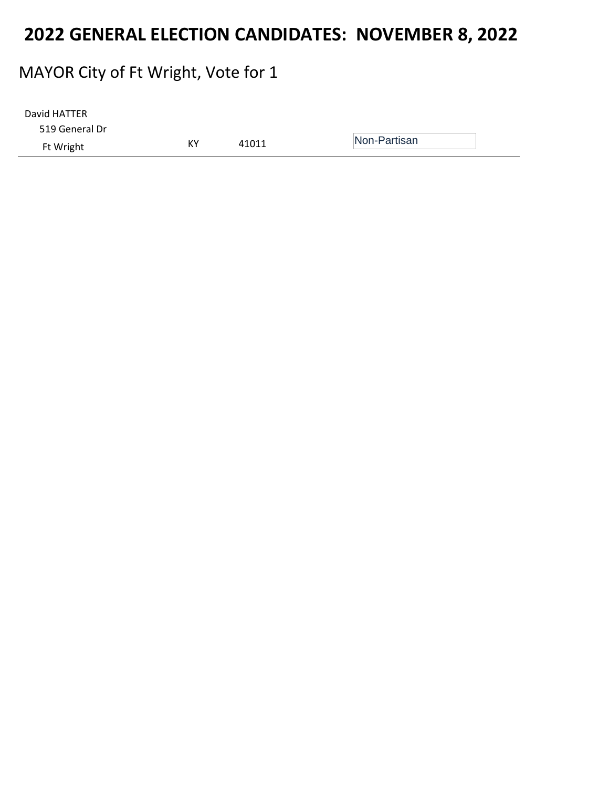### MAYOR City of Ft Wright, Vote for 1

| David HATTER   |    |       |              |  |
|----------------|----|-------|--------------|--|
| 519 General Dr |    |       |              |  |
| Ft Wright      | KY | 41011 | Non-Partisan |  |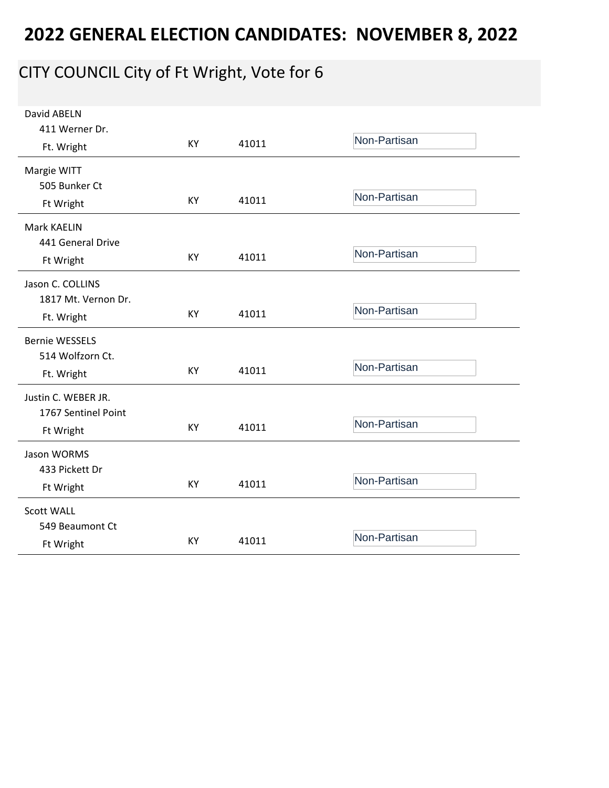# CITY COUNCIL City of Ft Wright, Vote for 6

| David ABELN           |    |       |              |
|-----------------------|----|-------|--------------|
| 411 Werner Dr.        |    |       |              |
| Ft. Wright            | KY | 41011 | Non-Partisan |
| Margie WITT           |    |       |              |
| 505 Bunker Ct         |    |       |              |
| Ft Wright             | KY | 41011 | Non-Partisan |
| Mark KAELIN           |    |       |              |
| 441 General Drive     |    |       |              |
| Ft Wright             | KY | 41011 | Non-Partisan |
| Jason C. COLLINS      |    |       |              |
| 1817 Mt. Vernon Dr.   |    |       |              |
| Ft. Wright            | KY | 41011 | Non-Partisan |
| <b>Bernie WESSELS</b> |    |       |              |
| 514 Wolfzorn Ct.      |    |       |              |
| Ft. Wright            | KY | 41011 | Non-Partisan |
| Justin C. WEBER JR.   |    |       |              |
| 1767 Sentinel Point   |    |       |              |
| Ft Wright             | KY | 41011 | Non-Partisan |
| Jason WORMS           |    |       |              |
| 433 Pickett Dr        |    |       |              |
| Ft Wright             | KY | 41011 | Non-Partisan |
| <b>Scott WALL</b>     |    |       |              |
| 549 Beaumont Ct       |    |       |              |
| Ft Wright             | KY | 41011 | Non-Partisan |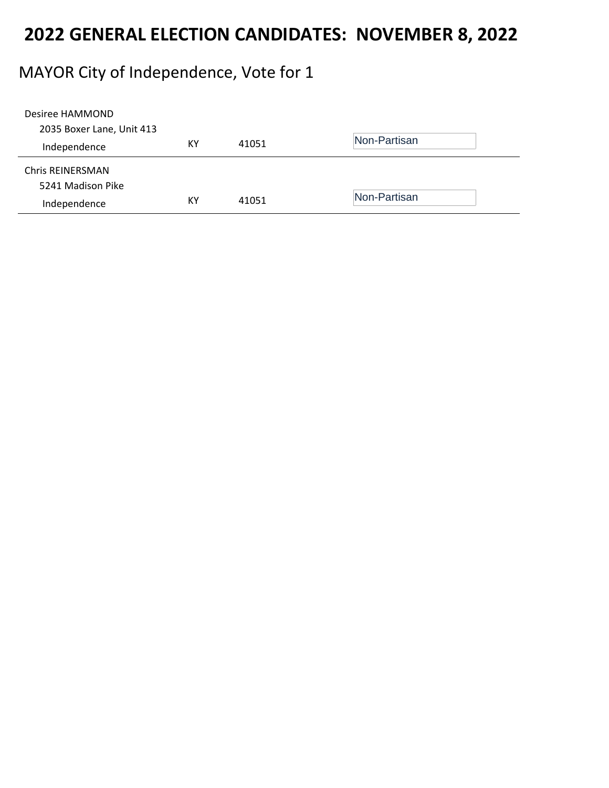### MAYOR City of Independence, Vote for 1

| Desiree HAMMOND           |    |       |              |
|---------------------------|----|-------|--------------|
| 2035 Boxer Lane, Unit 413 |    |       | Non-Partisan |
| Independence              | КY | 41051 |              |
| Chris REINERSMAN          |    |       |              |
| 5241 Madison Pike         |    |       |              |
| Independence              | KY | 41051 | Non-Partisan |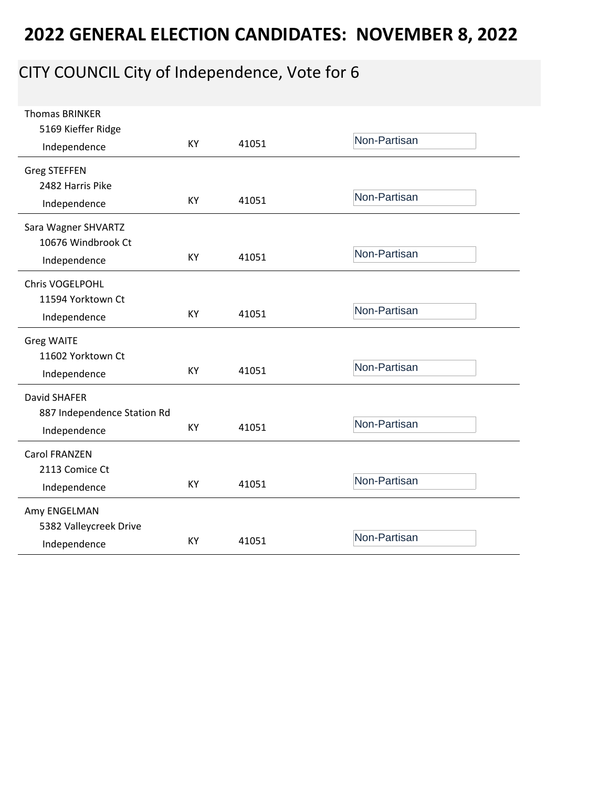# CITY COUNCIL City of Independence, Vote for 6

| <b>Thomas BRINKER</b><br>5169 Kieffer Ridge |           |       | Non-Partisan |
|---------------------------------------------|-----------|-------|--------------|
| Independence                                | KY        | 41051 |              |
| <b>Greg STEFFEN</b><br>2482 Harris Pike     |           |       |              |
| Independence                                | <b>KY</b> | 41051 | Non-Partisan |
| Sara Wagner SHVARTZ<br>10676 Windbrook Ct   |           |       |              |
| Independence                                | <b>KY</b> | 41051 | Non-Partisan |
| Chris VOGELPOHL<br>11594 Yorktown Ct        |           |       |              |
| Independence                                | KY        | 41051 | Non-Partisan |
| <b>Greg WAITE</b>                           |           |       |              |
| 11602 Yorktown Ct<br>Independence           | KY        | 41051 | Non-Partisan |
| David SHAFER                                |           |       |              |
| 887 Independence Station Rd<br>Independence | <b>KY</b> | 41051 | Non-Partisan |
| <b>Carol FRANZEN</b>                        |           |       |              |
| 2113 Comice Ct<br>Independence              | KY        | 41051 | Non-Partisan |
| Amy ENGELMAN                                |           |       |              |
| 5382 Valleycreek Drive<br>Independence      | KY        | 41051 | Non-Partisan |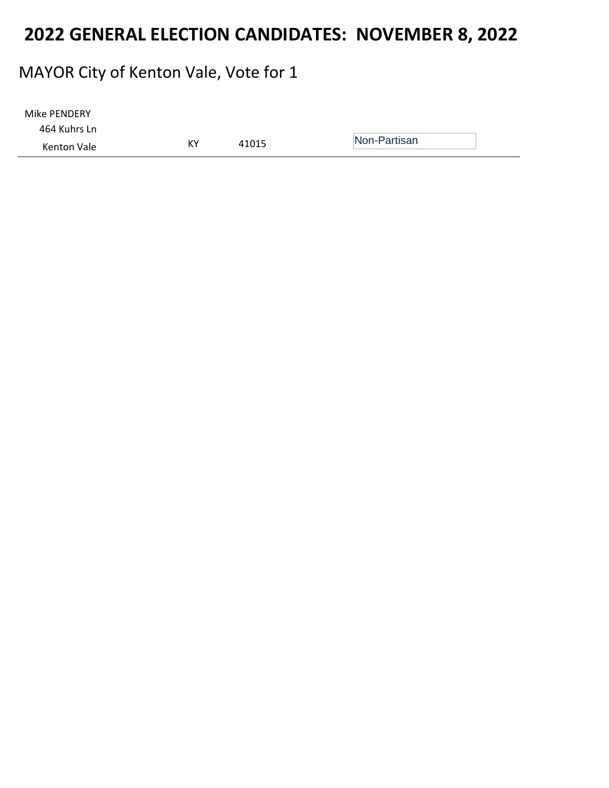### MAYOR City of Kenton Vale, Vote for 1

| Mike PENDERY |    |       |              |
|--------------|----|-------|--------------|
| 464 Kuhrs Ln |    |       |              |
| Kenton Vale  | ΚY | 41015 | Non-Partisan |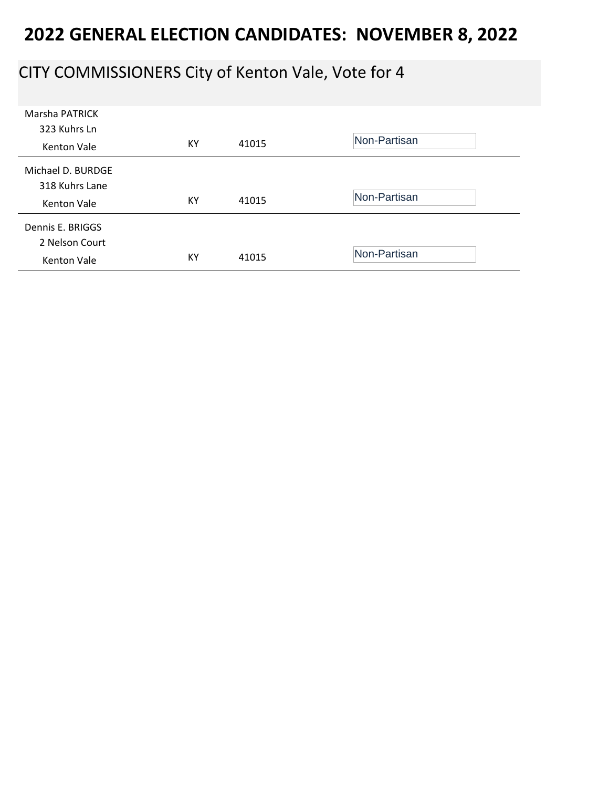### CITY COMMISSIONERS City of Kenton Vale, Vote for 4

| <b>Marsha PATRICK</b><br>323 Kuhrs Ln<br><b>Kenton Vale</b> | KY | 41015 | Non-Partisan |
|-------------------------------------------------------------|----|-------|--------------|
| Michael D. BURDGE<br>318 Kuhrs Lane<br>Kenton Vale          | KY | 41015 | Non-Partisan |
| Dennis E. BRIGGS<br>2 Nelson Court<br>Kenton Vale           | KY | 41015 | Non-Partisan |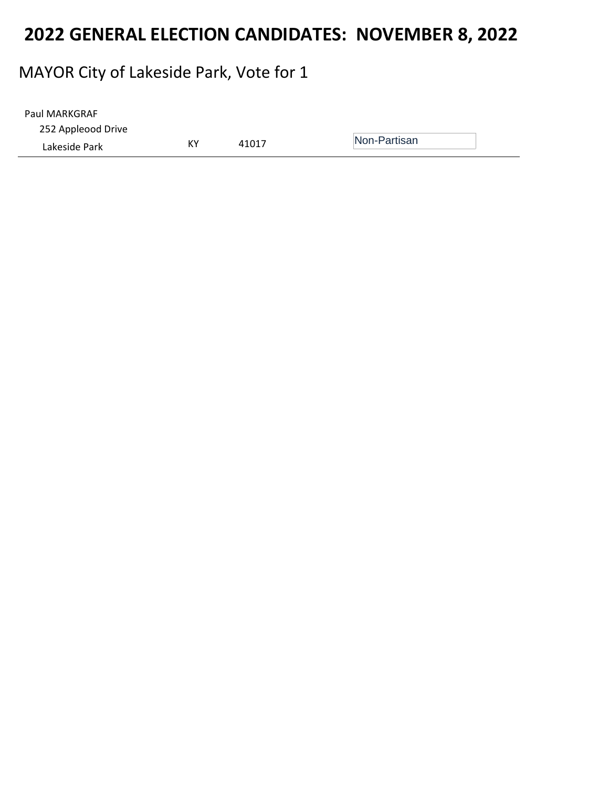# MAYOR City of Lakeside Park, Vote for 1

| Paul MARKGRAF      |    |       |              |
|--------------------|----|-------|--------------|
| 252 Appleood Drive |    |       |              |
| Lakeside Park      | КY | 41017 | Non-Partisan |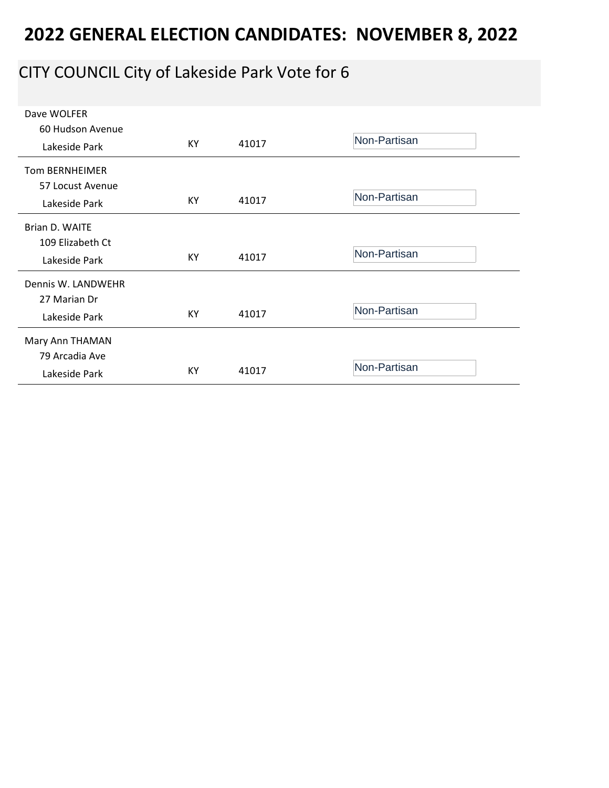### CITY COUNCIL City of Lakeside Park Vote for 6

| Dave WOLFER           |    |       |              |
|-----------------------|----|-------|--------------|
| 60 Hudson Avenue      |    |       |              |
| Lakeside Park         | KY | 41017 | Non-Partisan |
| <b>Tom BERNHEIMER</b> |    |       |              |
| 57 Locust Avenue      |    |       |              |
| Lakeside Park         | КY | 41017 | Non-Partisan |
| Brian D. WAITE        |    |       |              |
| 109 Elizabeth Ct      |    |       |              |
| Lakeside Park         | KY | 41017 | Non-Partisan |
| Dennis W. LANDWEHR    |    |       |              |
| 27 Marian Dr          |    |       |              |
| Lakeside Park         | KY | 41017 | Non-Partisan |
| Mary Ann THAMAN       |    |       |              |
| 79 Arcadia Ave        |    |       |              |
| Lakeside Park         | KY | 41017 | Non-Partisan |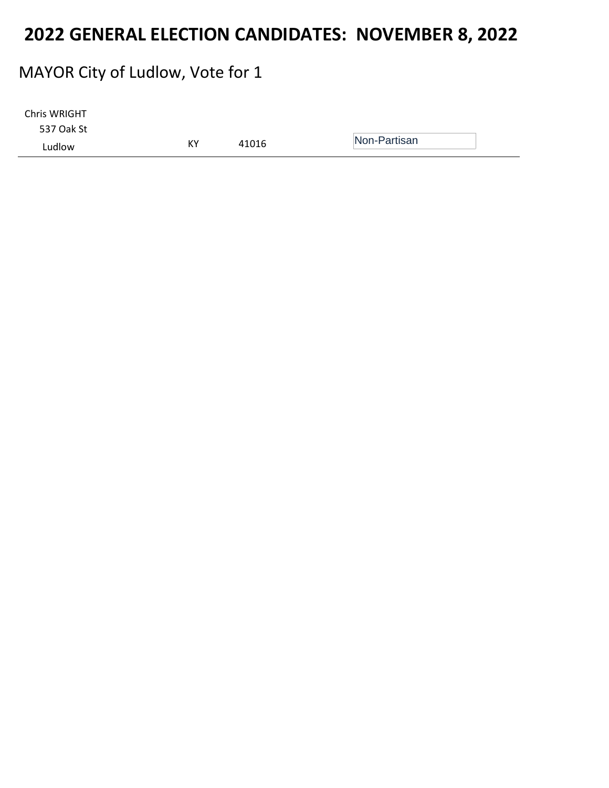### MAYOR City of Ludlow, Vote for 1

| Chris WRIGHT |    |       |              |
|--------------|----|-------|--------------|
| 537 Oak St   |    |       |              |
| Ludlow       | КY | 41016 | Non-Partisan |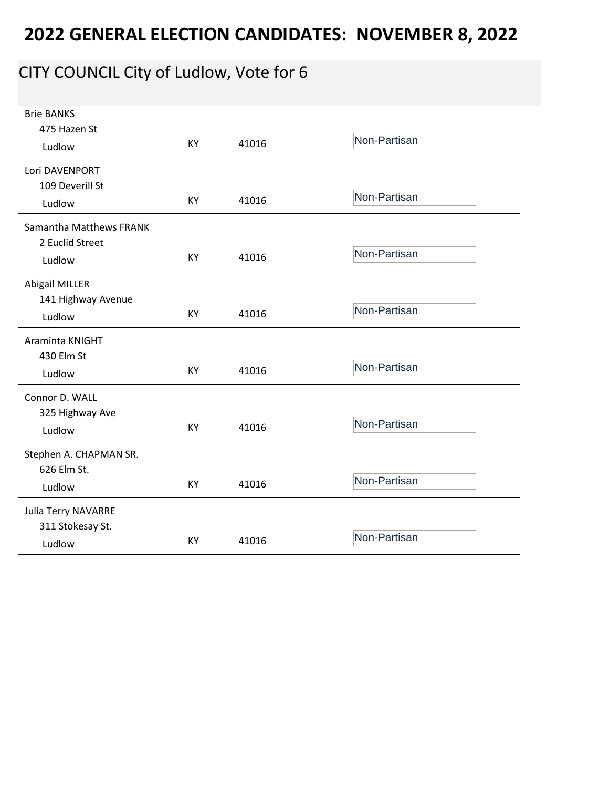# CITY COUNCIL City of Ludlow, Vote for 6

| <b>Brie BANKS</b>       |           |       |              |
|-------------------------|-----------|-------|--------------|
| 475 Hazen St            |           |       |              |
| Ludlow                  | <b>KY</b> | 41016 | Non-Partisan |
| Lori DAVENPORT          |           |       |              |
| 109 Deverill St         |           |       |              |
| Ludlow                  | KY        | 41016 | Non-Partisan |
| Samantha Matthews FRANK |           |       |              |
| 2 Euclid Street         |           |       |              |
| Ludlow                  | <b>KY</b> | 41016 | Non-Partisan |
| Abigail MILLER          |           |       |              |
| 141 Highway Avenue      |           |       |              |
| Ludlow                  | KY        | 41016 | Non-Partisan |
| Araminta KNIGHT         |           |       |              |
| 430 Elm St              |           |       |              |
| Ludlow                  | KY        | 41016 | Non-Partisan |
| Connor D. WALL          |           |       |              |
| 325 Highway Ave         |           |       |              |
| Ludlow                  | KY        | 41016 | Non-Partisan |
| Stephen A. CHAPMAN SR.  |           |       |              |
| 626 Elm St.             |           |       |              |
| Ludlow                  | KY        | 41016 | Non-Partisan |
| Julia Terry NAVARRE     |           |       |              |
| 311 Stokesay St.        |           |       |              |
| Ludlow                  | KY        | 41016 | Non-Partisan |
|                         |           |       |              |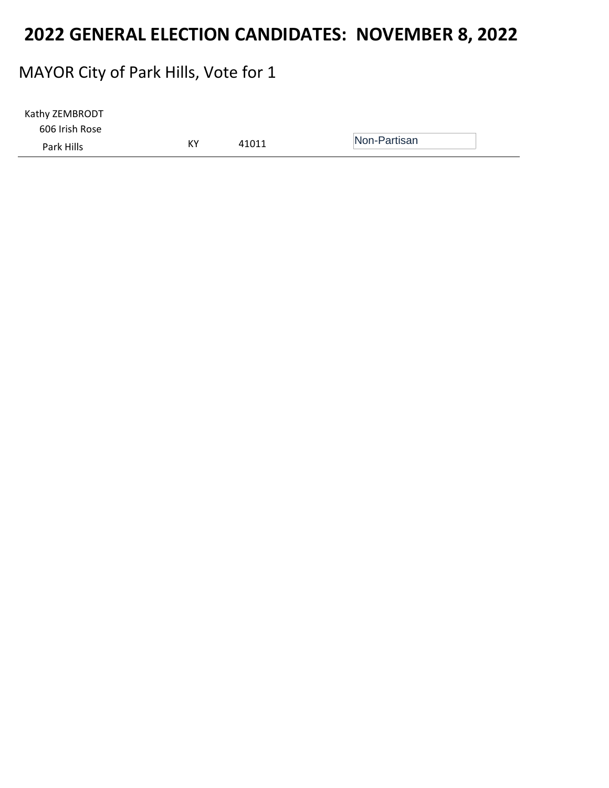#### MAYOR City of Park Hills, Vote for 1

| Kathy ZEMBRODT |    |       |              |  |
|----------------|----|-------|--------------|--|
| 606 Irish Rose |    |       |              |  |
| Park Hills     | КY | 41011 | Non-Partisan |  |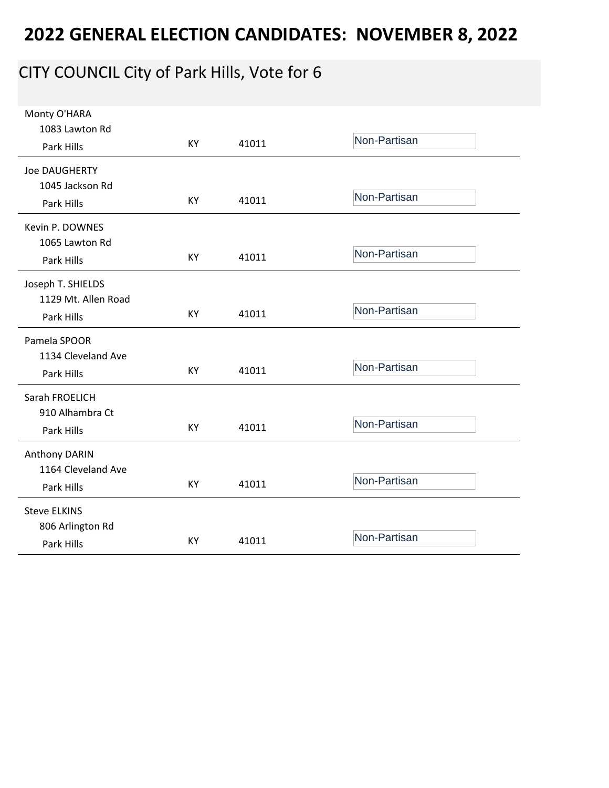# CITY COUNCIL City of Park Hills, Vote for 6

| Monty O'HARA         |           |       |              |
|----------------------|-----------|-------|--------------|
| 1083 Lawton Rd       |           |       |              |
| Park Hills           | <b>KY</b> | 41011 | Non-Partisan |
| <b>Joe DAUGHERTY</b> |           |       |              |
| 1045 Jackson Rd      |           |       |              |
| Park Hills           | KY        | 41011 | Non-Partisan |
| Kevin P. DOWNES      |           |       |              |
| 1065 Lawton Rd       |           |       |              |
| Park Hills           | KY        | 41011 | Non-Partisan |
| Joseph T. SHIELDS    |           |       |              |
| 1129 Mt. Allen Road  |           |       |              |
| Park Hills           | KY        | 41011 | Non-Partisan |
| Pamela SPOOR         |           |       |              |
| 1134 Cleveland Ave   |           |       |              |
| Park Hills           | KY        | 41011 | Non-Partisan |
| Sarah FROELICH       |           |       |              |
| 910 Alhambra Ct      |           |       |              |
| Park Hills           | KY        | 41011 | Non-Partisan |
| Anthony DARIN        |           |       |              |
| 1164 Cleveland Ave   |           |       |              |
| Park Hills           | KY        | 41011 | Non-Partisan |
| <b>Steve ELKINS</b>  |           |       |              |
| 806 Arlington Rd     |           |       |              |
| Park Hills           | KY        | 41011 | Non-Partisan |
|                      |           |       |              |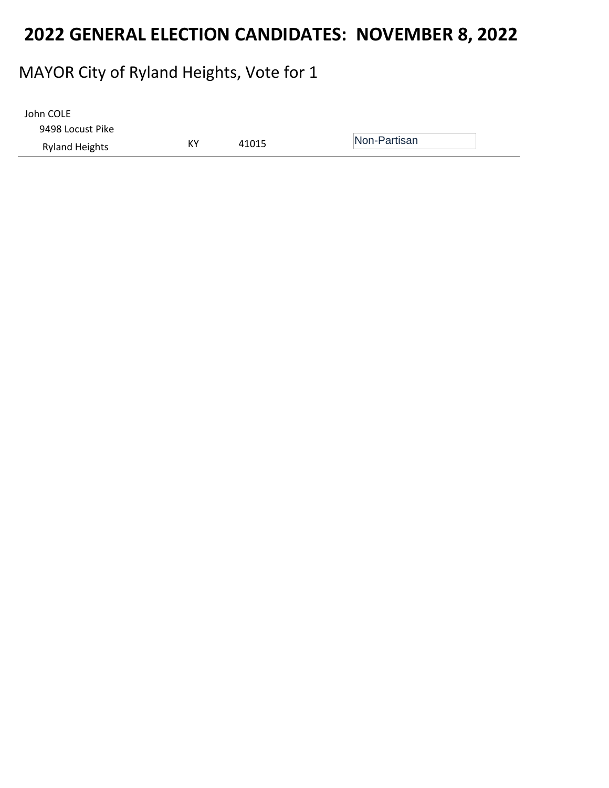### MAYOR City of Ryland Heights, Vote for 1

| John COLE             |    |       |              |
|-----------------------|----|-------|--------------|
| 9498 Locust Pike      |    |       |              |
| <b>Ryland Heights</b> | КY | 41015 | Non-Partisan |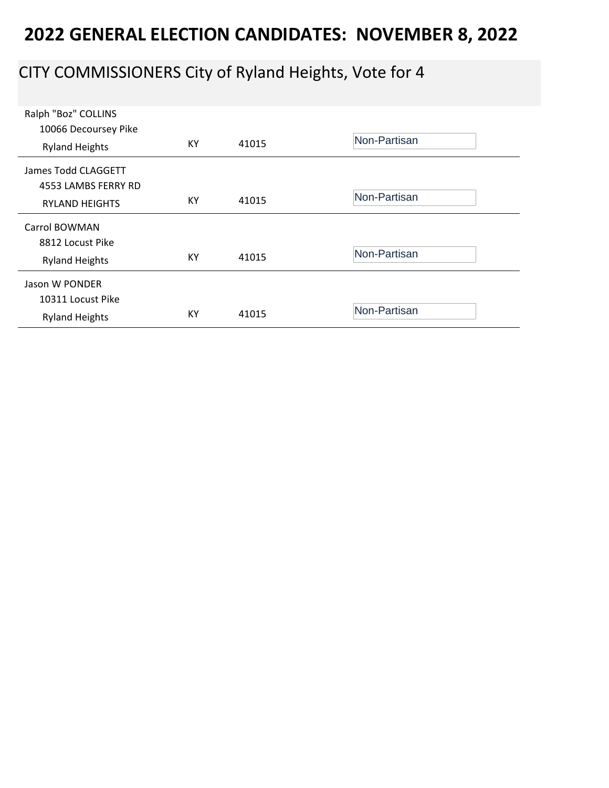# CITY COMMISSIONERS City of Ryland Heights, Vote for 4

| Ralph "Boz" COLLINS<br>10066 Decoursey Pike<br><b>Ryland Heights</b> | KY | 41015 | Non-Partisan |
|----------------------------------------------------------------------|----|-------|--------------|
| James Todd CLAGGETT<br>4553 LAMBS FERRY RD<br><b>RYLAND HEIGHTS</b>  | KY | 41015 | Non-Partisan |
| Carrol BOWMAN<br>8812 Locust Pike<br><b>Ryland Heights</b>           | КY | 41015 | Non-Partisan |
| Jason W PONDER<br>10311 Locust Pike<br><b>Ryland Heights</b>         | KY | 41015 | Non-Partisan |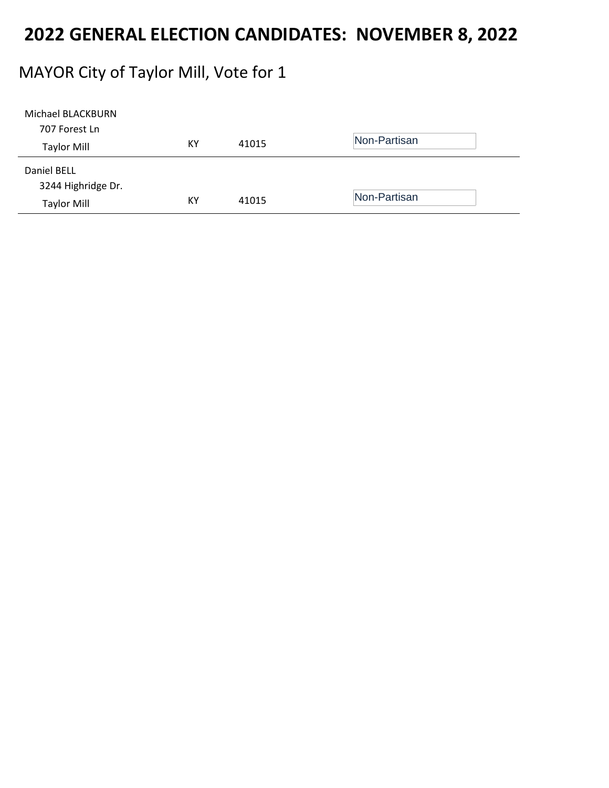### MAYOR City of Taylor Mill, Vote for 1

| Michael BLACKBURN  |    |       |              |
|--------------------|----|-------|--------------|
| 707 Forest Ln      |    |       |              |
| <b>Taylor Mill</b> | KY | 41015 | Non-Partisan |
| Daniel BELL        |    |       |              |
| 3244 Highridge Dr. |    |       |              |
| <b>Taylor Mill</b> | KY | 41015 | Non-Partisan |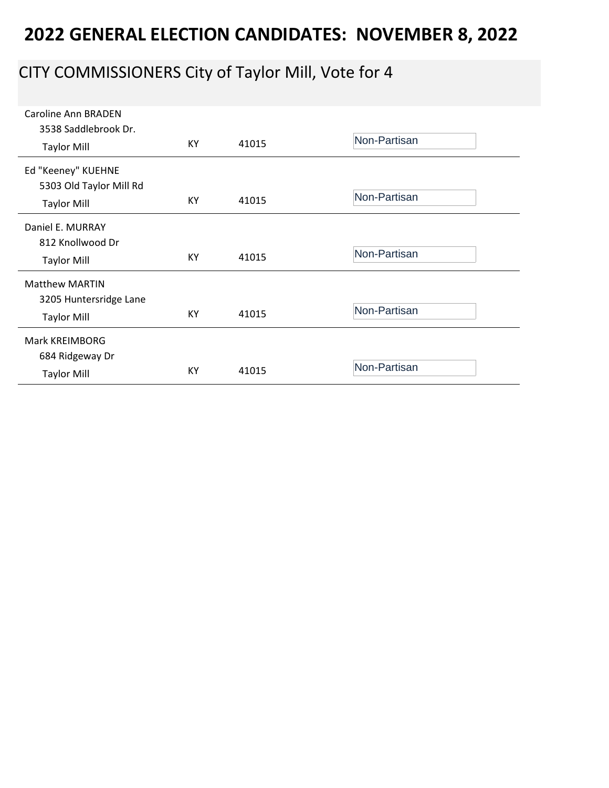# CITY COMMISSIONERS City of Taylor Mill, Vote for 4

| Caroline Ann BRADEN<br>3538 Saddlebrook Dr.<br><b>Taylor Mill</b>     | KY | 41015 | Non-Partisan |
|-----------------------------------------------------------------------|----|-------|--------------|
| Ed "Keeney" KUEHNE<br>5303 Old Taylor Mill Rd<br><b>Taylor Mill</b>   | KY | 41015 | Non-Partisan |
| Daniel E. MURRAY<br>812 Knollwood Dr<br><b>Taylor Mill</b>            | KY | 41015 | Non-Partisan |
| <b>Matthew MARTIN</b><br>3205 Huntersridge Lane<br><b>Taylor Mill</b> | KY | 41015 | Non-Partisan |
| Mark KREIMBORG<br>684 Ridgeway Dr<br><b>Taylor Mill</b>               | KY | 41015 | Non-Partisan |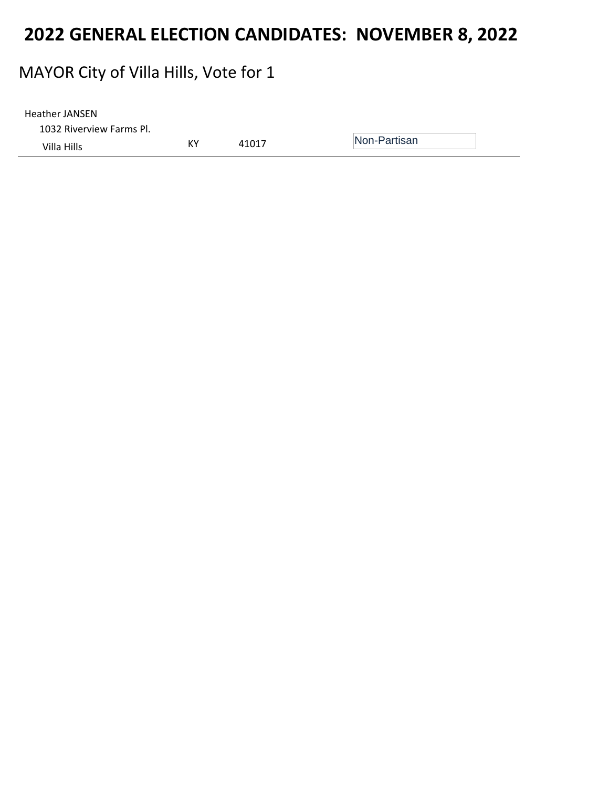#### MAYOR City of Villa Hills, Vote for 1

| <b>Heather JANSEN</b>    |    |       |              |
|--------------------------|----|-------|--------------|
| 1032 Riverview Farms Pl. |    |       |              |
| Villa Hills              | K٧ | 41017 | Non-Partisan |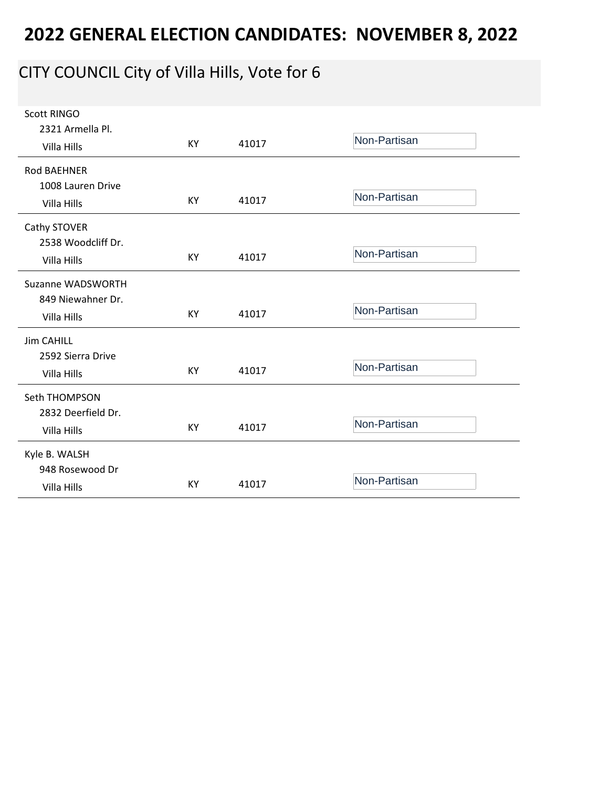# CITY COUNCIL City of Villa Hills, Vote for 6

| <b>Scott RINGO</b> |    |       |              |
|--------------------|----|-------|--------------|
| 2321 Armella Pl.   |    |       |              |
| Villa Hills        | KY | 41017 | Non-Partisan |
| <b>Rod BAEHNER</b> |    |       |              |
| 1008 Lauren Drive  |    |       |              |
|                    | KY | 41017 | Non-Partisan |
| Villa Hills        |    |       |              |
| Cathy STOVER       |    |       |              |
| 2538 Woodcliff Dr. |    |       |              |
| Villa Hills        | KY | 41017 | Non-Partisan |
|                    |    |       |              |
| Suzanne WADSWORTH  |    |       |              |
| 849 Niewahner Dr.  |    |       |              |
| Villa Hills        | KY | 41017 | Non-Partisan |
|                    |    |       |              |
| <b>Jim CAHILL</b>  |    |       |              |
| 2592 Sierra Drive  |    |       | Non-Partisan |
| Villa Hills        | KY | 41017 |              |
| Seth THOMPSON      |    |       |              |
| 2832 Deerfield Dr. |    |       |              |
| Villa Hills        | KY | 41017 | Non-Partisan |
|                    |    |       |              |
| Kyle B. WALSH      |    |       |              |
| 948 Rosewood Dr    |    |       |              |
| Villa Hills        | KY | 41017 | Non-Partisan |
|                    |    |       |              |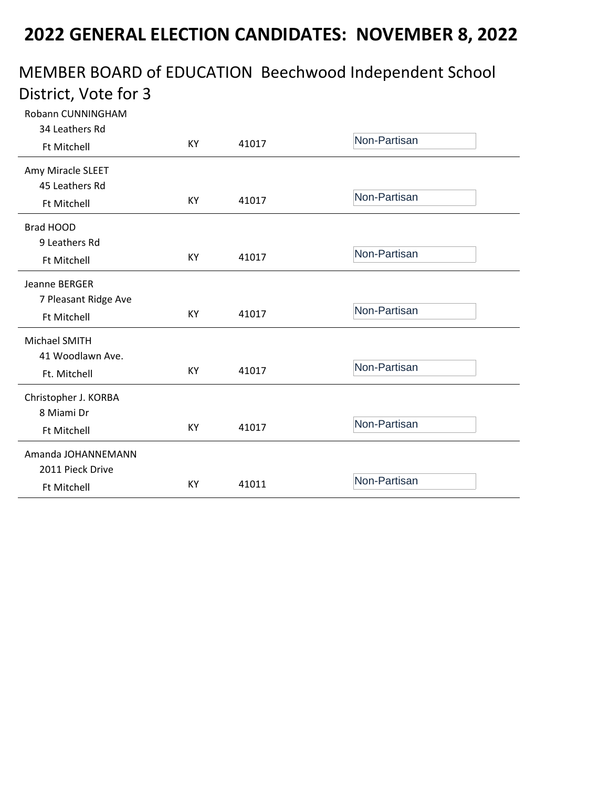#### MEMBER BOARD of EDUCATION Beechwood Independent School District, Vote for 3

| Robann CUNNINGHAM    |    |       |              |
|----------------------|----|-------|--------------|
| 34 Leathers Rd       |    |       | Non-Partisan |
| <b>Ft Mitchell</b>   | KY | 41017 |              |
| Amy Miracle SLEET    |    |       |              |
| 45 Leathers Rd       |    |       |              |
| <b>Ft Mitchell</b>   | ΚY | 41017 | Non-Partisan |
| Brad HOOD            |    |       |              |
| 9 Leathers Rd        |    |       |              |
| <b>Ft Mitchell</b>   | KY | 41017 | Non-Partisan |
| Jeanne BERGER        |    |       |              |
| 7 Pleasant Ridge Ave |    |       |              |
| <b>Ft Mitchell</b>   | KY | 41017 | Non-Partisan |
| Michael SMITH        |    |       |              |
| 41 Woodlawn Ave.     |    |       |              |
| Ft. Mitchell         | KY | 41017 | Non-Partisan |
| Christopher J. KORBA |    |       |              |
| 8 Miami Dr           |    |       |              |
| <b>Ft Mitchell</b>   | KY | 41017 | Non-Partisan |
| Amanda JOHANNEMANN   |    |       |              |
| 2011 Pieck Drive     |    |       |              |
| <b>Ft Mitchell</b>   | KY | 41011 | Non-Partisan |
|                      |    |       |              |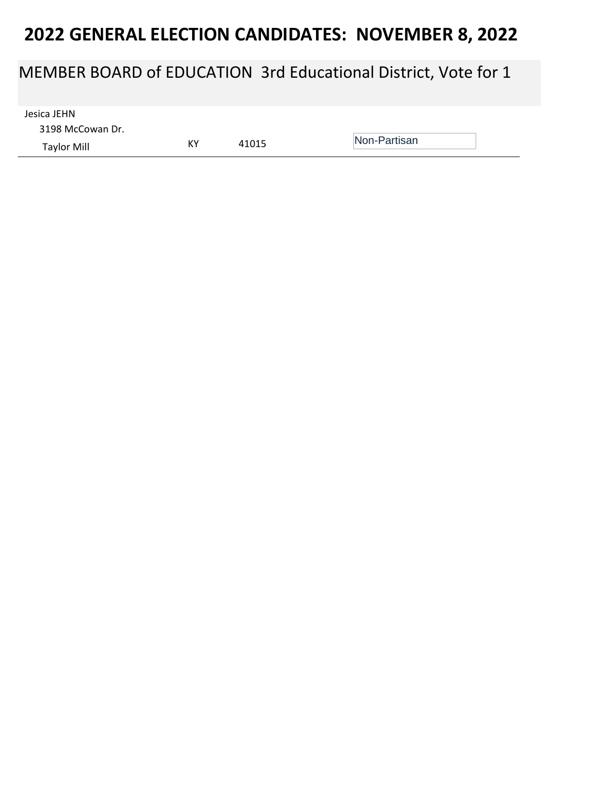#### MEMBER BOARD of EDUCATION 3rd Educational District, Vote for 1

3198 McCowan Dr. Taylor Mill KY <sup>41015</sup> Non-Partisan Jesica JEHN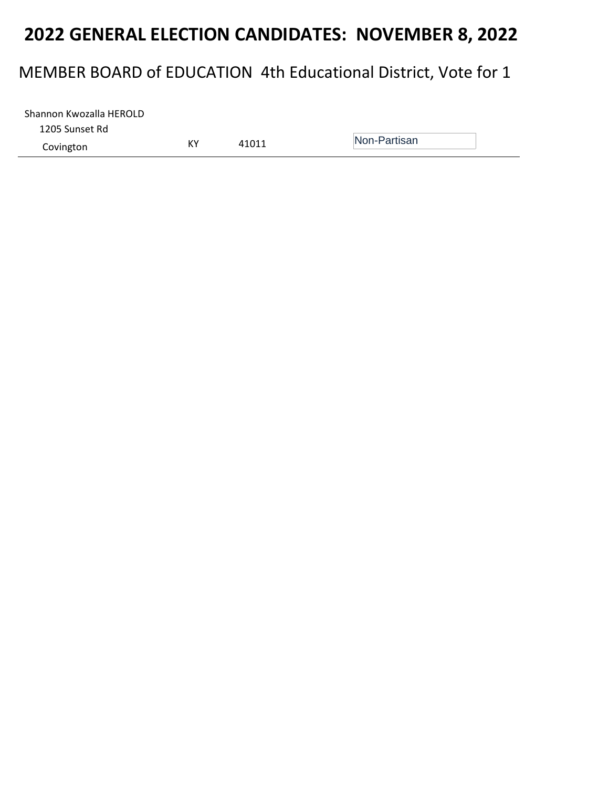### MEMBER BOARD of EDUCATION 4th Educational District, Vote for 1

| Shannon Kwozalla HEROLD |    |       |              |
|-------------------------|----|-------|--------------|
| 1205 Sunset Rd          |    |       |              |
| Covington               | КY | 41011 | Non-Partisan |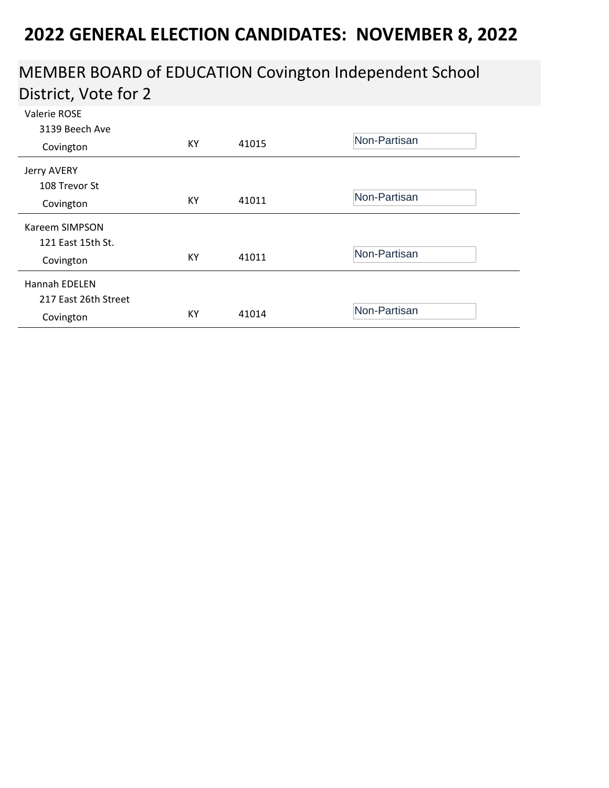#### MEMBER BOARD of EDUCATION Covington Independent School District, Vote for 2

| Valerie ROSE<br>3139 Beech Ave |    |       |              |
|--------------------------------|----|-------|--------------|
| Covington                      | KY | 41015 | Non-Partisan |
| Jerry AVERY                    |    |       |              |
| 108 Trevor St                  |    |       |              |
| Covington                      | KY | 41011 | Non-Partisan |
| Kareem SIMPSON                 |    |       |              |
| 121 East 15th St.              |    |       |              |
| Covington                      | KY | 41011 | Non-Partisan |
| <b>Hannah EDELEN</b>           |    |       |              |
| 217 East 26th Street           |    |       |              |
| Covington                      | KY | 41014 | Non-Partisan |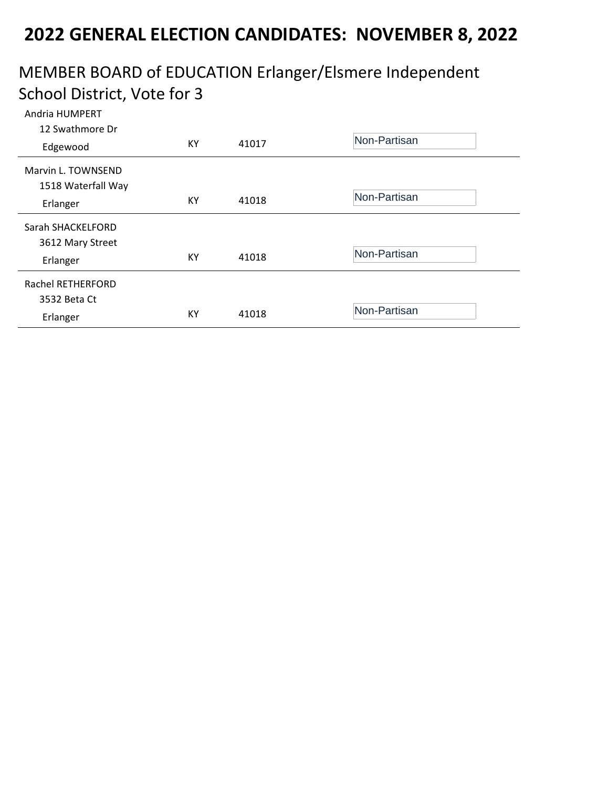#### MEMBER BOARD of EDUCATION Erlanger/Elsmere Independent School District, Vote for 3

| Andria HUMPERT     |    |       |              |
|--------------------|----|-------|--------------|
| 12 Swathmore Dr    |    |       | Non-Partisan |
| Edgewood           | KY | 41017 |              |
| Marvin L. TOWNSEND |    |       |              |
| 1518 Waterfall Way |    |       |              |
| Erlanger           | KY | 41018 | Non-Partisan |
|                    |    |       |              |
| Sarah SHACKELFORD  |    |       |              |
| 3612 Mary Street   |    |       |              |
| Erlanger           | KY | 41018 | Non-Partisan |
|                    |    |       |              |
| Rachel RETHERFORD  |    |       |              |
| 3532 Beta Ct       |    |       |              |
| Erlanger           | KY | 41018 | Non-Partisan |
|                    |    |       |              |